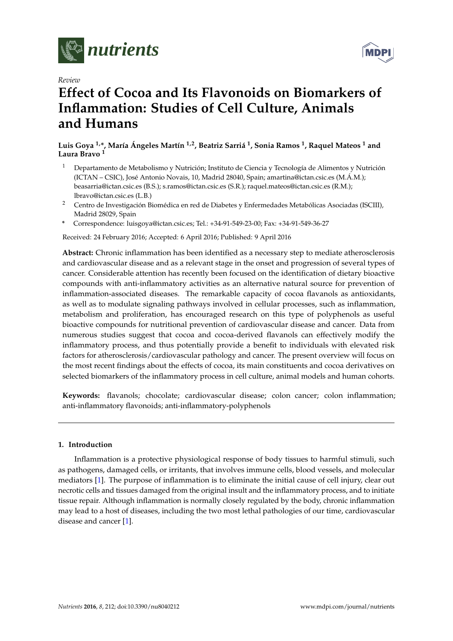

*Review*



# **Effect of Cocoa and Its Flavonoids on Biomarkers of Inflammation: Studies of Cell Culture, Animals and Humans**

**Luis Goya 1,\*, María Ángeles Martín 1,2, Beatriz Sarriá <sup>1</sup> , Sonia Ramos <sup>1</sup> , Raquel Mateos <sup>1</sup> and Laura Bravo <sup>1</sup>**

- <sup>1</sup> Departamento de Metabolismo y Nutrición; Instituto de Ciencia y Tecnología de Alimentos y Nutrición (ICTAN – CSIC), José Antonio Novais, 10, Madrid 28040, Spain; amartina@ictan.csic.es (M.Á.M.); beasarria@ictan.csic.es (B.S.); s.ramos@ictan.csic.es (S.R.); raquel.mateos@ictan.csic.es (R.M.); lbravo@ictan.csic.es (L.B.)
- <sup>2</sup> Centro de Investigación Biomédica en red de Diabetes y Enfermedades Metabólicas Asociadas (ISCIII), Madrid 28029, Spain
- **\*** Correspondence: luisgoya@ictan.csic.es; Tel.: +34-91-549-23-00; Fax: +34-91-549-36-27

Received: 24 February 2016; Accepted: 6 April 2016; Published: 9 April 2016

**Abstract:** Chronic inflammation has been identified as a necessary step to mediate atherosclerosis and cardiovascular disease and as a relevant stage in the onset and progression of several types of cancer. Considerable attention has recently been focused on the identification of dietary bioactive compounds with anti-inflammatory activities as an alternative natural source for prevention of inflammation-associated diseases. The remarkable capacity of cocoa flavanols as antioxidants, as well as to modulate signaling pathways involved in cellular processes, such as inflammation, metabolism and proliferation, has encouraged research on this type of polyphenols as useful bioactive compounds for nutritional prevention of cardiovascular disease and cancer. Data from numerous studies suggest that cocoa and cocoa-derived flavanols can effectively modify the inflammatory process, and thus potentially provide a benefit to individuals with elevated risk factors for atherosclerosis/cardiovascular pathology and cancer. The present overview will focus on the most recent findings about the effects of cocoa, its main constituents and cocoa derivatives on selected biomarkers of the inflammatory process in cell culture, animal models and human cohorts.

**Keywords:** flavanols; chocolate; cardiovascular disease; colon cancer; colon inflammation; anti-inflammatory flavonoids; anti-inflammatory-polyphenols

# **1. Introduction**

Inflammation is a protective physiological response of body tissues to harmful stimuli, such as pathogens, damaged cells, or irritants, that involves immune cells, blood vessels, and molecular mediators [\[1\]](#page-15-0). The purpose of inflammation is to eliminate the initial cause of cell injury, clear out necrotic cells and tissues damaged from the original insult and the inflammatory process, and to initiate tissue repair. Although inflammation is normally closely regulated by the body, chronic inflammation may lead to a host of diseases, including the two most lethal pathologies of our time, cardiovascular disease and cancer [\[1\]](#page-15-0).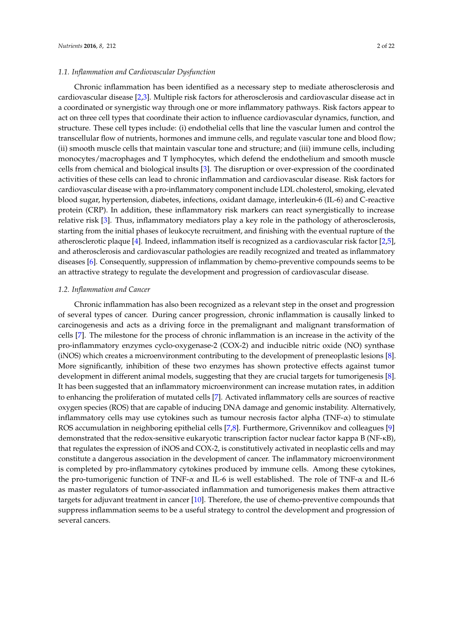## *1.1. Inflammation and Cardiovascular Dysfunction*

Chronic inflammation has been identified as a necessary step to mediate atherosclerosis and cardiovascular disease [\[2,](#page-16-0)[3\]](#page-16-1). Multiple risk factors for atherosclerosis and cardiovascular disease act in a coordinated or synergistic way through one or more inflammatory pathways. Risk factors appear to act on three cell types that coordinate their action to influence cardiovascular dynamics, function, and structure. These cell types include: (i) endothelial cells that line the vascular lumen and control the transcellular flow of nutrients, hormones and immune cells, and regulate vascular tone and blood flow; (ii) smooth muscle cells that maintain vascular tone and structure; and (iii) immune cells, including monocytes/macrophages and T lymphocytes, which defend the endothelium and smooth muscle cells from chemical and biological insults [\[3\]](#page-16-1). The disruption or over-expression of the coordinated activities of these cells can lead to chronic inflammation and cardiovascular disease. Risk factors for cardiovascular disease with a pro-inflammatory component include LDL cholesterol, smoking, elevated blood sugar, hypertension, diabetes, infections, oxidant damage, interleukin-6 (IL-6) and C-reactive protein (CRP). In addition, these inflammatory risk markers can react synergistically to increase relative risk [\[3\]](#page-16-1). Thus, inflammatory mediators play a key role in the pathology of atherosclerosis, starting from the initial phases of leukocyte recruitment, and finishing with the eventual rupture of the atherosclerotic plaque [\[4\]](#page-16-2). Indeed, inflammation itself is recognized as a cardiovascular risk factor [\[2](#page-16-0)[,5\]](#page-16-3), and atherosclerosis and cardiovascular pathologies are readily recognized and treated as inflammatory diseases [\[6\]](#page-16-4). Consequently, suppression of inflammation by chemo-preventive compounds seems to be an attractive strategy to regulate the development and progression of cardiovascular disease.

#### *1.2. Inflammation and Cancer*

Chronic inflammation has also been recognized as a relevant step in the onset and progression of several types of cancer. During cancer progression, chronic inflammation is causally linked to carcinogenesis and acts as a driving force in the premalignant and malignant transformation of cells [\[7\]](#page-16-5). The milestone for the process of chronic inflammation is an increase in the activity of the pro-inflammatory enzymes cyclo-oxygenase-2 (COX-2) and inducible nitric oxide (NO) synthase (iNOS) which creates a microenvironment contributing to the development of preneoplastic lesions [\[8\]](#page-16-6). More significantly, inhibition of these two enzymes has shown protective effects against tumor development in different animal models, suggesting that they are crucial targets for tumorigenesis [\[8\]](#page-16-6). It has been suggested that an inflammatory microenvironment can increase mutation rates, in addition to enhancing the proliferation of mutated cells [\[7\]](#page-16-5). Activated inflammatory cells are sources of reactive oxygen species (ROS) that are capable of inducing DNA damage and genomic instability. Alternatively, inflammatory cells may use cytokines such as tumour necrosis factor alpha ( $TNF-\alpha$ ) to stimulate ROS accumulation in neighboring epithelial cells [\[7](#page-16-5)[,8\]](#page-16-6). Furthermore, Grivennikov and colleagues [\[9\]](#page-16-7) demonstrated that the redox-sensitive eukaryotic transcription factor nuclear factor kappa B (NF-κB), that regulates the expression of iNOS and COX-2, is constitutively activated in neoplastic cells and may constitute a dangerous association in the development of cancer. The inflammatory microenvironment is completed by pro-inflammatory cytokines produced by immune cells. Among these cytokines, the pro-tumorigenic function of TNF- $\alpha$  and IL-6 is well established. The role of TNF- $\alpha$  and IL-6 as master regulators of tumor-associated inflammation and tumorigenesis makes them attractive targets for adjuvant treatment in cancer [\[10\]](#page-16-8). Therefore, the use of chemo-preventive compounds that suppress inflammation seems to be a useful strategy to control the development and progression of several cancers.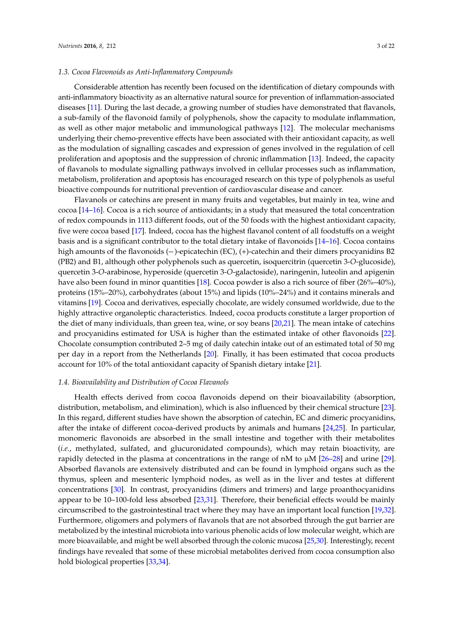#### *1.3. Cocoa Flavonoids as Anti-Inflammatory Compounds*

Considerable attention has recently been focused on the identification of dietary compounds with anti-inflammatory bioactivity as an alternative natural source for prevention of inflammation-associated diseases [\[11\]](#page-16-9). During the last decade, a growing number of studies have demonstrated that flavanols, a sub-family of the flavonoid family of polyphenols, show the capacity to modulate inflammation, as well as other major metabolic and immunological pathways [\[12\]](#page-16-10). The molecular mechanisms underlying their chemo-preventive effects have been associated with their antioxidant capacity, as well as the modulation of signalling cascades and expression of genes involved in the regulation of cell proliferation and apoptosis and the suppression of chronic inflammation [\[13\]](#page-16-11). Indeed, the capacity of flavanols to modulate signalling pathways involved in cellular processes such as inflammation, metabolism, proliferation and apoptosis has encouraged research on this type of polyphenols as useful bioactive compounds for nutritional prevention of cardiovascular disease and cancer.

Flavanols or catechins are present in many fruits and vegetables, but mainly in tea, wine and cocoa [\[14–](#page-16-12)[16\]](#page-16-13). Cocoa is a rich source of antioxidants; in a study that measured the total concentration of redox compounds in 1113 different foods, out of the 50 foods with the highest antioxidant capacity, five were cocoa based [\[17\]](#page-16-14). Indeed, cocoa has the highest flavanol content of all foodstuffs on a weight basis and is a significant contributor to the total dietary intake of flavonoids [\[14–](#page-16-12)[16\]](#page-16-13). Cocoa contains cocoa [14–16]. Cocoa is a field source of antioxidants, in a study that measured the total concerntration<br>of redox compounds in 1113 different foods, out of the 50 foods with the highest antioxidant capacity<br>five were coco (PB2) and B1, although other polyphenols such as quercetin, isoquercitrin (quercetin 3-*O*-glucoside), quercetin 3-*O*-arabinose, hyperoside (quercetin 3-*O*-galactoside), naringenin, luteolin and apigenin have also been found in minor quantities [\[18\]](#page-16-15). Cocoa powder is also a rich source of fiber (26%–40%), proteins (15%–20%), carbohydrates (about 15%) and lipids (10%–24%) and it contains minerals and vitamins [\[19\]](#page-16-16). Cocoa and derivatives, especially chocolate, are widely consumed worldwide, due to the highly attractive organoleptic characteristics. Indeed, cocoa products constitute a larger proportion of the diet of many individuals, than green tea, wine, or soy beans [\[20](#page-16-17)[,21\]](#page-16-18). The mean intake of catechins and procyanidins estimated for USA is higher than the estimated intake of other flavonoids [\[22\]](#page-16-19). Chocolate consumption contributed 2–5 mg of daily catechin intake out of an estimated total of 50 mg per day in a report from the Netherlands [\[20\]](#page-16-17). Finally, it has been estimated that cocoa products account for 10% of the total antioxidant capacity of Spanish dietary intake [\[21\]](#page-16-18).

#### *1.4. Bioavailability and Distribution of Cocoa Flavanols*

Health effects derived from cocoa flavonoids depend on their bioavailability (absorption, distribution, metabolism, and elimination), which is also influenced by their chemical structure [\[23\]](#page-16-20). In this regard, different studies have shown the absorption of catechin, EC and dimeric procyanidins, after the intake of different cocoa-derived products by animals and humans [\[24,](#page-16-21)[25\]](#page-16-22). In particular, monomeric flavonoids are absorbed in the small intestine and together with their metabolites (*i.e.*, methylated, sulfated, and glucuronidated compounds), which may retain bioactivity, are rapidly detected in the plasma at concentrations in the range of nM to  $\mu$ M [\[26](#page-17-0)[–28\]](#page-17-1) and urine [\[29\]](#page-17-2). Absorbed flavanols are extensively distributed and can be found in lymphoid organs such as the thymus, spleen and mesenteric lymphoid nodes, as well as in the liver and testes at different concentrations [\[30\]](#page-17-3). In contrast, procyanidins (dimers and trimers) and large proanthocyanidins appear to be 10–100-fold less absorbed [\[23,](#page-16-20)[31\]](#page-17-4). Therefore, their beneficial effects would be mainly circumscribed to the gastrointestinal tract where they may have an important local function [\[19,](#page-16-16)[32\]](#page-17-5). Furthermore, oligomers and polymers of flavanols that are not absorbed through the gut barrier are metabolized by the intestinal microbiota into various phenolic acids of low molecular weight, which are more bioavailable, and might be well absorbed through the colonic mucosa [\[25,](#page-16-22)[30\]](#page-17-3). Interestingly, recent findings have revealed that some of these microbial metabolites derived from cocoa consumption also hold biological properties [\[33](#page-17-6)[,34\]](#page-17-7).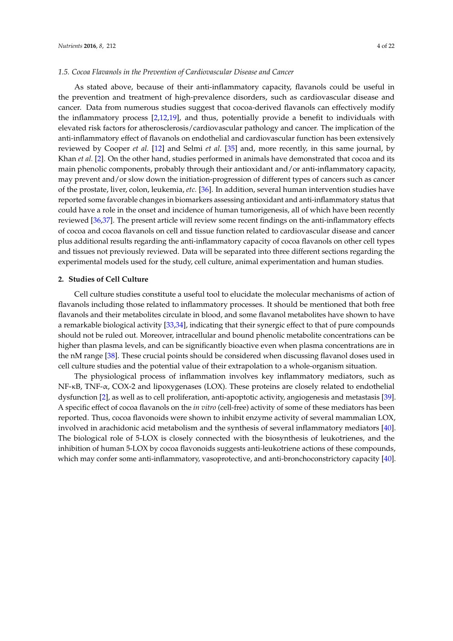#### *1.5. Cocoa Flavanols in the Prevention of Cardiovascular Disease and Cancer*

As stated above, because of their anti-inflammatory capacity, flavanols could be useful in the prevention and treatment of high-prevalence disorders, such as cardiovascular disease and cancer. Data from numerous studies suggest that cocoa-derived flavanols can effectively modify the inflammatory process [\[2](#page-16-0)[,12](#page-16-10)[,19\]](#page-16-16), and thus, potentially provide a benefit to individuals with elevated risk factors for atherosclerosis/cardiovascular pathology and cancer. The implication of the anti-inflammatory effect of flavanols on endothelial and cardiovascular function has been extensively reviewed by Cooper *et al.* [\[12\]](#page-16-10) and Selmi *et al.* [\[35\]](#page-17-8) and, more recently, in this same journal, by Khan *et al.* [\[2\]](#page-16-0). On the other hand, studies performed in animals have demonstrated that cocoa and its main phenolic components, probably through their antioxidant and/or anti-inflammatory capacity, may prevent and/or slow down the initiation-progression of different types of cancers such as cancer of the prostate, liver, colon, leukemia, *etc.* [\[36\]](#page-17-9). In addition, several human intervention studies have reported some favorable changes in biomarkers assessing antioxidant and anti-inflammatory status that could have a role in the onset and incidence of human tumorigenesis, all of which have been recently reviewed [\[36,](#page-17-9)[37\]](#page-17-10). The present article will review some recent findings on the anti-inflammatory effects of cocoa and cocoa flavanols on cell and tissue function related to cardiovascular disease and cancer plus additional results regarding the anti-inflammatory capacity of cocoa flavanols on other cell types and tissues not previously reviewed. Data will be separated into three different sections regarding the experimental models used for the study, cell culture, animal experimentation and human studies.

## **2. Studies of Cell Culture**

Cell culture studies constitute a useful tool to elucidate the molecular mechanisms of action of flavanols including those related to inflammatory processes. It should be mentioned that both free flavanols and their metabolites circulate in blood, and some flavanol metabolites have shown to have a remarkable biological activity [\[33,](#page-17-6)[34\]](#page-17-7), indicating that their synergic effect to that of pure compounds should not be ruled out. Moreover, intracellular and bound phenolic metabolite concentrations can be higher than plasma levels, and can be significantly bioactive even when plasma concentrations are in the nM range [\[38\]](#page-17-11). These crucial points should be considered when discussing flavanol doses used in cell culture studies and the potential value of their extrapolation to a whole-organism situation.

The physiological process of inflammation involves key inflammatory mediators, such as NF-κB, TNF-α, COX-2 and lipoxygenases (LOX). These proteins are closely related to endothelial dysfunction [\[2\]](#page-16-0), as well as to cell proliferation, anti-apoptotic activity, angiogenesis and metastasis [\[39\]](#page-17-12). A specific effect of cocoa flavanols on the *in vitro* (cell-free) activity of some of these mediators has been reported. Thus, cocoa flavonoids were shown to inhibit enzyme activity of several mammalian LOX, involved in arachidonic acid metabolism and the synthesis of several inflammatory mediators [\[40\]](#page-17-13). The biological role of 5-LOX is closely connected with the biosynthesis of leukotrienes, and the inhibition of human 5-LOX by cocoa flavonoids suggests anti-leukotriene actions of these compounds, which may confer some anti-inflammatory, vasoprotective, and anti-bronchoconstrictory capacity [\[40\]](#page-17-13).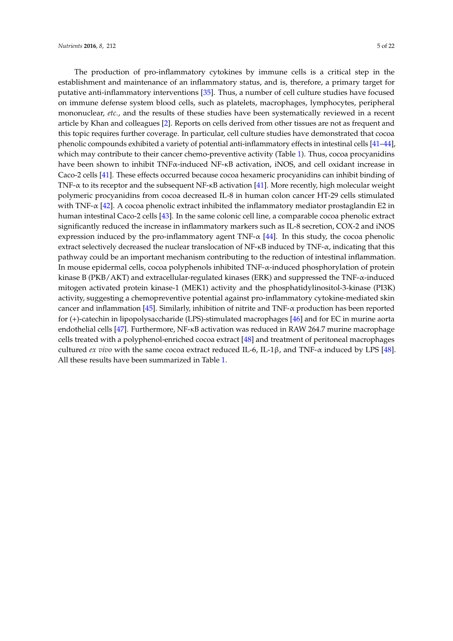The production of pro-inflammatory cytokines by immune cells is a critical step in the establishment and maintenance of an inflammatory status, and is, therefore, a primary target for putative anti-inflammatory interventions [\[35\]](#page-17-8). Thus, a number of cell culture studies have focused on immune defense system blood cells, such as platelets, macrophages, lymphocytes, peripheral mononuclear, *etc.*, and the results of these studies have been systematically reviewed in a recent article by Khan and colleagues [\[2\]](#page-16-0). Reports on cells derived from other tissues are not as frequent and this topic requires further coverage. In particular, cell culture studies have demonstrated that cocoa phenolic compounds exhibited a variety of potential anti-inflammatory effects in intestinal cells [\[41](#page-17-14)[–44\]](#page-18-0), which may contribute to their cancer chemo-preventive activity (Table [1\)](#page-5-0). Thus, cocoa procyanidins have been shown to inhibit TNFα-induced NF-κB activation, iNOS, and cell oxidant increase in Caco-2 cells [\[41\]](#page-17-14). These effects occurred because cocoa hexameric procyanidins can inhibit binding of TNF-α to its receptor and the subsequent NF-κB activation [\[41\]](#page-17-14). More recently, high molecular weight polymeric procyanidins from cocoa decreased IL-8 in human colon cancer HT-29 cells stimulated with TNF- $\alpha$  [\[42\]](#page-17-15). A cocoa phenolic extract inhibited the inflammatory mediator prostaglandin E2 in human intestinal Caco-2 cells [\[43\]](#page-17-16). In the same colonic cell line, a comparable cocoa phenolic extract significantly reduced the increase in inflammatory markers such as IL-8 secretion, COX-2 and iNOS expression induced by the pro-inflammatory agent TNF- $\alpha$  [\[44\]](#page-18-0). In this study, the cocoa phenolic extract selectively decreased the nuclear translocation of  $NF-\kappa B$  induced by  $TNF-\alpha$ , indicating that this pathway could be an important mechanism contributing to the reduction of intestinal inflammation. In mouse epidermal cells, cocoa polyphenols inhibited TNF-α-induced phosphorylation of protein kinase B (PKB/AKT) and extracellular-regulated kinases (ERK) and suppressed the TNF- $\alpha$ -induced mitogen activated protein kinase-1 (MEK1) activity and the phosphatidylinositol-3-kinase (PI3K) activity, suggesting a chemopreventive potential against pro-inflammatory cytokine-mediated skin cancer and inflammation [\[45\]](#page-18-1). Similarly, inhibition of nitrite and TNF-α production has been reported for (+)-catechin in lipopolysaccharide (LPS)-stimulated macrophages [\[46\]](#page-18-2) and for EC in murine aorta endothelial cells [\[47\]](#page-18-3). Furthermore, NF-κB activation was reduced in RAW 264.7 murine macrophage cells treated with a polyphenol-enriched cocoa extract [\[48\]](#page-18-4) and treatment of peritoneal macrophages cultured *ex vivo* with the same cocoa extract reduced IL-6, IL-1 $\beta$ , and TNF- $\alpha$  induced by LPS [\[48\]](#page-18-4). All these results have been summarized in Table [1.](#page-5-0)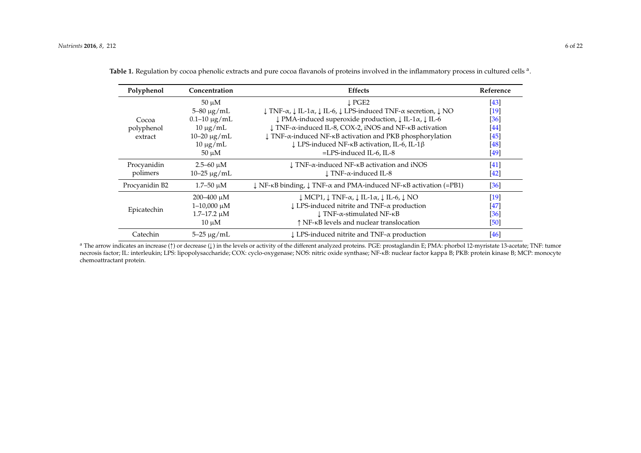| Polyphenol     | Concentration       | <b>Effects</b>                                                                                                                                 | Reference |
|----------------|---------------------|------------------------------------------------------------------------------------------------------------------------------------------------|-----------|
|                | $50 \mu M$          | $\perp$ PGE2                                                                                                                                   | [43]      |
|                | $5 - 80 \mu g/mL$   | $\downarrow$ TNF- $\alpha$ , $\downarrow$ IL-1 $\alpha$ , $\downarrow$ IL-6, $\downarrow$ LPS-induced TNF- $\alpha$ secretion, $\downarrow$ NO | $[19]$    |
| Cocoa          | $0.1 - 10 \mu g/mL$ | $\downarrow$ PMA-induced superoxide production, $\downarrow$ IL-1 $\alpha$ , $\downarrow$ IL-6                                                 | [36]      |
| polyphenol     | $10 \mu g/mL$       | ↓ TNF-α-induced IL-8, COX-2, iNOS and NF-κB activation                                                                                         | [44]      |
| extract        | $10 - 20 \mu g/mL$  | $\downarrow$ TNF- $\alpha$ -induced NF- $\kappa$ B activation and PKB phosphorylation                                                          | [45]      |
|                | $10 \mu g/mL$       | $\downarrow$ LPS-induced NF- $\kappa$ B activation, IL-6, IL-1 $\beta$                                                                         | [48]      |
|                | $50 \mu M$          | $=LPS$ -induced IL-6, IL-8                                                                                                                     | $[49]$    |
| Procyanidin    | $2.5 - 60 \mu M$    | $\downarrow$ TNF- $\alpha$ -induced NF- $\kappa$ B activation and iNOS                                                                         | [41]      |
| polimers       | $10 - 25 \mu g/mL$  | $\perp$ TNF- $\alpha$ -induced IL-8                                                                                                            | [42]      |
| Procyanidin B2 | $1.7 - 50 \mu M$    | $\downarrow$ NF- $\kappa$ B binding, $\downarrow$ TNF- $\alpha$ and PMA-induced NF- $\kappa$ B activation (=PB1)                               | [36]      |
| Epicatechin    | $200 - 400 \mu M$   | $\downarrow$ MCP1, $\downarrow$ TNF- $\alpha$ , $\downarrow$ IL-1 $\alpha$ , $\downarrow$ IL-6, $\downarrow$ NO                                | $[19]$    |
|                | $1 - 10,000 \mu M$  | $\downarrow$ LPS-induced nitrite and TNF- $\alpha$ production                                                                                  | [47]      |
|                | $1.7 - 17.2 \mu M$  | $\downarrow$ TNF- $\alpha$ -stimulated NF- $\kappa$ B                                                                                          | [36]      |
|                | $10 \mu M$          | ↑ NF-KB levels and nuclear translocation                                                                                                       | [50]      |
| Catechin       | $5 - 25 \mu g/mL$   | $\downarrow$ LPS-induced nitrite and TNF- $\alpha$ production                                                                                  | [46]      |

Table 1. Regulation by cocoa phenolic extracts and pure cocoa flavanols of proteins involved in the inflammatory process in cultured cells <sup>a</sup>.

<span id="page-5-0"></span><sup>a</sup> The arrow indicates an increase ( $\uparrow$ ) or decrease ( $\downarrow$ ) in the levels or activity of the different analyzed proteins. PGE: prostaglandin E; PMA: phorbol 12-myristate 13-acetate; TNF: tumor necrosis factor; IL: interleukin; LPS: lipopolysaccharide; COX: cyclo-oxygenase; NOS: nitric oxide synthase; NF-κB: nuclear factor kappa B; PKB: protein kinase B; MCP: monocyte chemoattractant protein.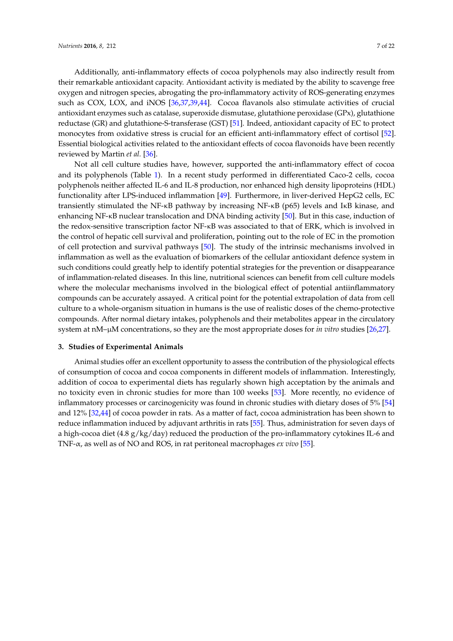Additionally, anti-inflammatory effects of cocoa polyphenols may also indirectly result from their remarkable antioxidant capacity. Antioxidant activity is mediated by the ability to scavenge free oxygen and nitrogen species, abrogating the pro-inflammatory activity of ROS-generating enzymes such as COX, LOX, and iNOS [\[36](#page-17-9)[,37](#page-17-10)[,39](#page-17-12)[,44\]](#page-18-0). Cocoa flavanols also stimulate activities of crucial antioxidant enzymes such as catalase, superoxide dismutase, glutathione peroxidase (GPx), glutathione reductase (GR) and glutathione-S-transferase (GST) [\[51\]](#page-18-12). Indeed, antioxidant capacity of EC to protect monocytes from oxidative stress is crucial for an efficient anti-inflammatory effect of cortisol [\[52\]](#page-18-13). Essential biological activities related to the antioxidant effects of cocoa flavonoids have been recently reviewed by Martin *et al.* [\[36\]](#page-17-9).

Not all cell culture studies have, however, supported the anti-inflammatory effect of cocoa and its polyphenols (Table [1\)](#page-5-0). In a recent study performed in differentiated Caco-2 cells, cocoa polyphenols neither affected IL-6 and IL-8 production, nor enhanced high density lipoproteins (HDL) functionality after LPS-induced inflammation [\[49\]](#page-18-14). Furthermore, in liver-derived HepG2 cells, EC transiently stimulated the NF-κB pathway by increasing NF-κB (p65) levels and IκB kinase, and enhancing NF-κB nuclear translocation and DNA binding activity [\[50\]](#page-18-15). But in this case, induction of the redox-sensitive transcription factor NF-κB was associated to that of ERK, which is involved in the control of hepatic cell survival and proliferation, pointing out to the role of EC in the promotion of cell protection and survival pathways [\[50\]](#page-18-15). The study of the intrinsic mechanisms involved in inflammation as well as the evaluation of biomarkers of the cellular antioxidant defence system in such conditions could greatly help to identify potential strategies for the prevention or disappearance of inflammation-related diseases. In this line, nutritional sciences can benefit from cell culture models where the molecular mechanisms involved in the biological effect of potential antiinflammatory compounds can be accurately assayed. A critical point for the potential extrapolation of data from cell culture to a whole-organism situation in humans is the use of realistic doses of the chemo-protective compounds. After normal dietary intakes, polyphenols and their metabolites appear in the circulatory system at nM–µM concentrations, so they are the most appropriate doses for *in vitro* studies [\[26](#page-17-0)[,27\]](#page-17-20).

# **3. Studies of Experimental Animals**

Animal studies offer an excellent opportunity to assess the contribution of the physiological effects of consumption of cocoa and cocoa components in different models of inflammation. Interestingly, addition of cocoa to experimental diets has regularly shown high acceptation by the animals and no toxicity even in chronic studies for more than 100 weeks [\[53\]](#page-18-16). More recently, no evidence of inflammatory processes or carcinogenicity was found in chronic studies with dietary doses of 5% [\[54\]](#page-18-17) and 12% [\[32](#page-17-5)[,44\]](#page-18-0) of cocoa powder in rats. As a matter of fact, cocoa administration has been shown to reduce inflammation induced by adjuvant arthritis in rats [\[55\]](#page-18-18). Thus, administration for seven days of a high-cocoa diet (4.8  $g/kg/day$ ) reduced the production of the pro-inflammatory cytokines IL-6 and TNF-α, as well as of NO and ROS, in rat peritoneal macrophages *ex vivo* [\[55\]](#page-18-18).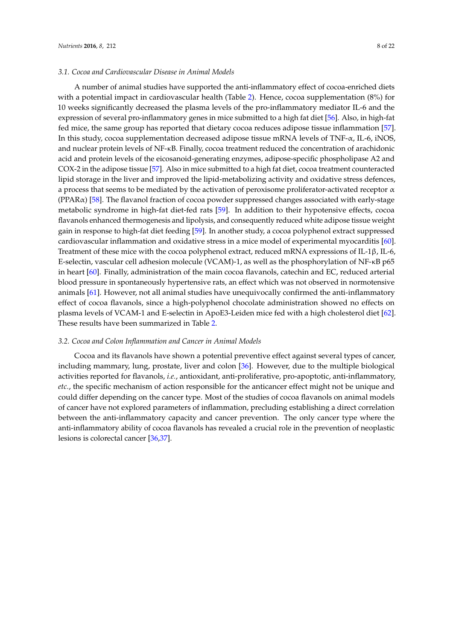with a potential impact in cardiovascular health (Table [2\)](#page-8-0). Hence, cocoa supplementation (8%) for 10 weeks significantly decreased the plasma levels of the pro-inflammatory mediator IL-6 and the expression of several pro-inflammatory genes in mice submitted to a high fat diet [\[56\]](#page-18-19). Also, in high-fat fed mice, the same group has reported that dietary cocoa reduces adipose tissue inflammation [\[57\]](#page-18-20). In this study, cocoa supplementation decreased adipose tissue mRNA levels of TNF- $\alpha$ , IL-6, iNOS, and nuclear protein levels of NF-κB. Finally, cocoa treatment reduced the concentration of arachidonic acid and protein levels of the eicosanoid-generating enzymes, adipose-specific phospholipase A2 and COX-2 in the adipose tissue [\[57\]](#page-18-20). Also in mice submitted to a high fat diet, cocoa treatment counteracted lipid storage in the liver and improved the lipid-metabolizing activity and oxidative stress defences, a process that seems to be mediated by the activation of peroxisome proliferator-activated receptor  $\alpha$  $(PPAR\alpha)$  [\[58\]](#page-18-21). The flavanol fraction of cocoa powder suppressed changes associated with early-stage metabolic syndrome in high-fat diet-fed rats [\[59\]](#page-18-22). In addition to their hypotensive effects, cocoa flavanols enhanced thermogenesis and lipolysis, and consequently reduced white adipose tissue weight gain in response to high-fat diet feeding [\[59\]](#page-18-22). In another study, a cocoa polyphenol extract suppressed cardiovascular inflammation and oxidative stress in a mice model of experimental myocarditis [\[60\]](#page-18-23). Treatment of these mice with the cocoa polyphenol extract, reduced mRNA expressions of IL-1β, IL-6, E-selectin, vascular cell adhesion molecule (VCAM)-1, as well as the phosphorylation of NF-κB p65 in heart [\[60\]](#page-18-23). Finally, administration of the main cocoa flavanols, catechin and EC, reduced arterial blood pressure in spontaneously hypertensive rats, an effect which was not observed in normotensive animals [\[61\]](#page-18-24). However, not all animal studies have unequivocally confirmed the anti-inflammatory effect of cocoa flavanols, since a high-polyphenol chocolate administration showed no effects on plasma levels of VCAM-1 and E-selectin in ApoE3-Leiden mice fed with a high cholesterol diet [\[62\]](#page-19-0). These results have been summarized in Table [2.](#page-8-0)

#### *3.2. Cocoa and Colon Inflammation and Cancer in Animal Models*

Cocoa and its flavanols have shown a potential preventive effect against several types of cancer, including mammary, lung, prostate, liver and colon [\[36\]](#page-17-9). However, due to the multiple biological activities reported for flavanols, *i.e.*, antioxidant, anti-proliferative, pro-apoptotic, anti-inflammatory, *etc.*, the specific mechanism of action responsible for the anticancer effect might not be unique and could differ depending on the cancer type. Most of the studies of cocoa flavanols on animal models of cancer have not explored parameters of inflammation, precluding establishing a direct correlation between the anti-inflammatory capacity and cancer prevention. The only cancer type where the anti-inflammatory ability of cocoa flavanols has revealed a crucial role in the prevention of neoplastic lesions is colorectal cancer [\[36](#page-17-9)[,37\]](#page-17-10).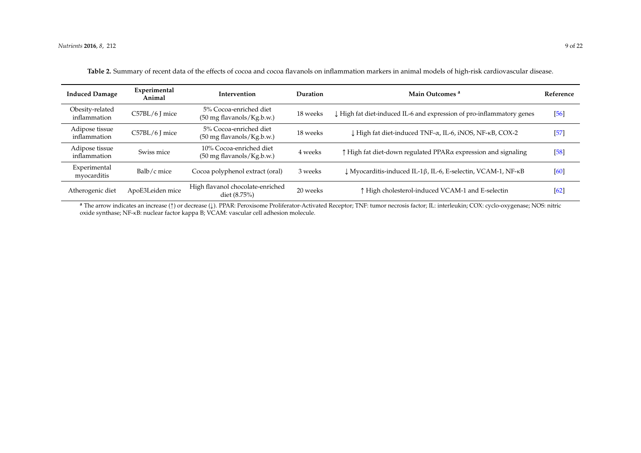| <b>Induced Damage</b>           | Experimental<br>Animal | Intervention                                                   | Duration | Main Outcomes <sup>a</sup>                                          | Reference |
|---------------------------------|------------------------|----------------------------------------------------------------|----------|---------------------------------------------------------------------|-----------|
| Obesity-related<br>inflammation | C57BL/6 J mice         | 5% Cocoa-enriched diet<br>(50 mg flavanols/Kg.b.w.)            | 18 weeks | High fat diet-induced IL-6 and expression of pro-inflammatory genes | $[56]$    |
| Adipose tissue<br>inflammation  | C57BL/6 J mice         | 5% Cocoa-enriched diet<br>(50 mg flavanols/Kg.b.w.)            | 18 weeks | L High fat diet-induced TNF-α, IL-6, iNOS, NF-κB, COX-2             | $[57]$    |
| Adipose tissue<br>inflammation  | Swiss mice             | 10% Cocoa-enriched diet<br>$(50 \text{ mg}$ flavanols/Kg.b.w.) | 4 weeks  | ↑ High fat diet-down regulated PPARα expression and signaling       | $[58]$    |
| Experimental<br>myocarditis     | Balb/c mice            | Cocoa polyphenol extract (oral)                                | 3 weeks  | ↓ Myocarditis-induced IL-1β, IL-6, E-selectin, VCAM-1, NF-κB        | [60]      |
| Atherogenic diet                | ApoE3Leiden mice       | High flavanol chocolate-enriched<br>diet $(8.75%)$             | 20 weeks | ↑ High cholesterol-induced VCAM-1 and E-selectin                    | [62]      |

|  |  | Table 2. Summary of recent data of the effects of cocoa and cocoa flavanols on inflammation markers in animal models of high-risk cardiovascular disease. |  |  |  |  |  |  |  |  |  |
|--|--|-----------------------------------------------------------------------------------------------------------------------------------------------------------|--|--|--|--|--|--|--|--|--|
|--|--|-----------------------------------------------------------------------------------------------------------------------------------------------------------|--|--|--|--|--|--|--|--|--|

<span id="page-8-0"></span>**<sup>a</sup>** The arrow indicates an increase (Ò) or decrease (Ó). PPAR: Peroxisome Proliferator-Activated Receptor; TNF: tumor necrosis factor; IL: interleukin; COX: cyclo-oxygenase; NOS: nitric oxide synthase; NF-κB: nuclear factor kappa B; VCAM: vascular cell adhesion molecule.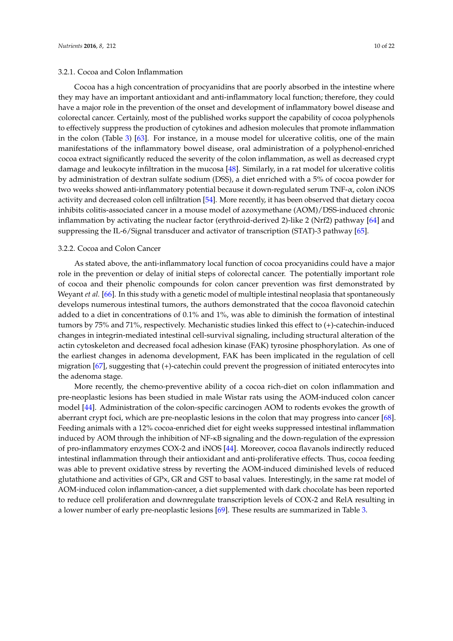## 3.2.1. Cocoa and Colon Inflammation

Cocoa has a high concentration of procyanidins that are poorly absorbed in the intestine where they may have an important antioxidant and anti-inflammatory local function; therefore, they could have a major role in the prevention of the onset and development of inflammatory bowel disease and colorectal cancer. Certainly, most of the published works support the capability of cocoa polyphenols to effectively suppress the production of cytokines and adhesion molecules that promote inflammation in the colon (Table [3\)](#page-10-0) [\[63\]](#page-19-2). For instance, in a mouse model for ulcerative colitis, one of the main manifestations of the inflammatory bowel disease, oral administration of a polyphenol-enriched cocoa extract significantly reduced the severity of the colon inflammation, as well as decreased crypt damage and leukocyte infiltration in the mucosa [\[48\]](#page-18-4). Similarly, in a rat model for ulcerative colitis by administration of dextran sulfate sodium (DSS), a diet enriched with a 5% of cocoa powder for two weeks showed anti-inflammatory potential because it down-regulated serum TNF-α, colon iNOS activity and decreased colon cell infiltration [\[54\]](#page-18-17). More recently, it has been observed that dietary cocoa inhibits colitis-associated cancer in a mouse model of azoxymethane (AOM)/DSS-induced chronic inflammation by activating the nuclear factor (erythroid-derived 2)-like 2 (Nrf2) pathway [\[64\]](#page-19-3) and suppressing the IL-6/Signal transducer and activator of transcription (STAT)-3 pathway [\[65\]](#page-19-4).

## 3.2.2. Cocoa and Colon Cancer

As stated above, the anti-inflammatory local function of cocoa procyanidins could have a major role in the prevention or delay of initial steps of colorectal cancer. The potentially important role of cocoa and their phenolic compounds for colon cancer prevention was first demonstrated by Weyant *et al.* [\[66\]](#page-19-5). In this study with a genetic model of multiple intestinal neoplasia that spontaneously develops numerous intestinal tumors, the authors demonstrated that the cocoa flavonoid catechin added to a diet in concentrations of 0.1% and 1%, was able to diminish the formation of intestinal tumors by 75% and 71%, respectively. Mechanistic studies linked this effect to (+)-catechin-induced changes in integrin-mediated intestinal cell-survival signaling, including structural alteration of the actin cytoskeleton and decreased focal adhesion kinase (FAK) tyrosine phosphorylation. As one of the earliest changes in adenoma development, FAK has been implicated in the regulation of cell migration [\[67\]](#page-19-6), suggesting that (+)-catechin could prevent the progression of initiated enterocytes into the adenoma stage.

More recently, the chemo-preventive ability of a cocoa rich-diet on colon inflammation and pre-neoplastic lesions has been studied in male Wistar rats using the AOM-induced colon cancer model [\[44\]](#page-18-0). Administration of the colon-specific carcinogen AOM to rodents evokes the growth of aberrant crypt foci, which are pre-neoplastic lesions in the colon that may progress into cancer [\[68\]](#page-19-7). Feeding animals with a 12% cocoa-enriched diet for eight weeks suppressed intestinal inflammation induced by AOM through the inhibition of NF-κB signaling and the down-regulation of the expression of pro-inflammatory enzymes COX-2 and iNOS [\[44\]](#page-18-0). Moreover, cocoa flavanols indirectly reduced intestinal inflammation through their antioxidant and anti-proliferative effects. Thus, cocoa feeding was able to prevent oxidative stress by reverting the AOM-induced diminished levels of reduced glutathione and activities of GPx, GR and GST to basal values. Interestingly, in the same rat model of AOM-induced colon inflammation-cancer, a diet supplemented with dark chocolate has been reported to reduce cell proliferation and downregulate transcription levels of COX-2 and RelA resulting in a lower number of early pre-neoplastic lesions [\[69\]](#page-19-8). These results are summarized in Table [3.](#page-10-0)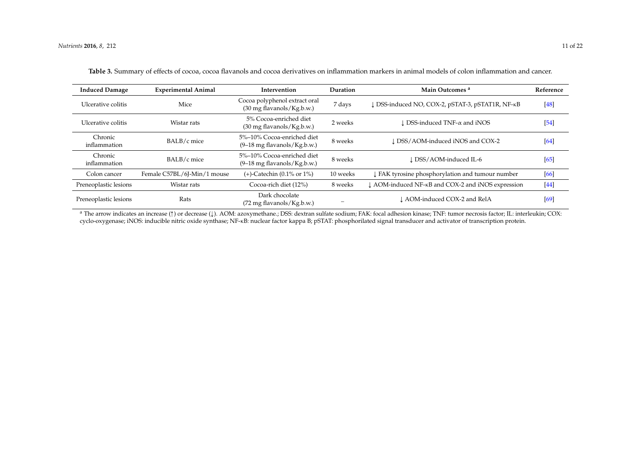| <b>Induced Damage</b>   | <b>Experimental Animal</b>  | Intervention                                                         | Duration | Main Outcomes <sup>a</sup>                                     | Reference |
|-------------------------|-----------------------------|----------------------------------------------------------------------|----------|----------------------------------------------------------------|-----------|
| Ulcerative colitis      | Mice                        | Cocoa polyphenol extract oral<br>$(30 \text{ mg flavanols/Kg.b.w.})$ | 7 days   | DSS-induced NO, COX-2, pSTAT-3, pSTAT1R, NF-KB                 | [48]      |
| Ulcerative colitis      | Wistar rats                 | 5% Cocoa-enriched diet<br>$(30 \text{ mg flavanols/Kg.b.w.})$        | 2 weeks  | l DSS-induced TNF-α and iNOS                                   | [54]      |
| Chronic<br>inflammation | BALB/c mice                 | 5%-10% Cocoa-enriched diet<br>$(9-18 \text{ mg flavanols/Kg.b.w.})$  | 8 weeks  | LDSS/AOM-induced iNOS and COX-2                                | [64]      |
| Chronic<br>inflammation | BALB/c mice                 | 5%-10% Cocoa-enriched diet<br>$(9-18 \text{ mg flavanols/Kg.b.w.})$  | 8 weeks  | L DSS/AOM-induced IL-6                                         | [65]      |
| Colon cancer            | Female C57BL/6J-Min/1 mouse | $(+)$ -Catechin (0.1% or 1%)                                         | 10 weeks | ↓ FAK tyrosine phosphorylation and tumour number               | [66]      |
| Preneoplastic lesions   | Wistar rats                 | Cocoa-rich diet (12%)                                                | 8 weeks  | ↓ AOM-induced NF- <sub>K</sub> B and COX-2 and iNOS expression | $[44]$    |
| Preneoplastic lesions   | Rats                        | Dark chocolate<br>$(72 \text{ mg flavanols/Kg.b.w.})$                |          | L AOM-induced COX-2 and RelA                                   | [69]      |

**Table 3.** Summary of effects of cocoa, cocoa flavanols and cocoa derivatives on inflammation markers in animal models of colon inflammation and cancer.

<span id="page-10-0"></span><sup>a</sup> The arrow indicates an increase ( $\uparrow$ ) or decrease ( $\downarrow$ ). AOM: azoxymethane.; DSS: dextran sulfate sodium; FAK: focal adhesion kinase; TNF: tumor necrosis factor; IL: interleukin; COX: cyclo-oxygenase; iNOS: inducible nitric oxide synthase; NF-κB: nuclear factor kappa B; pSTAT: phosphorilated signal transducer and activator of transcription protein.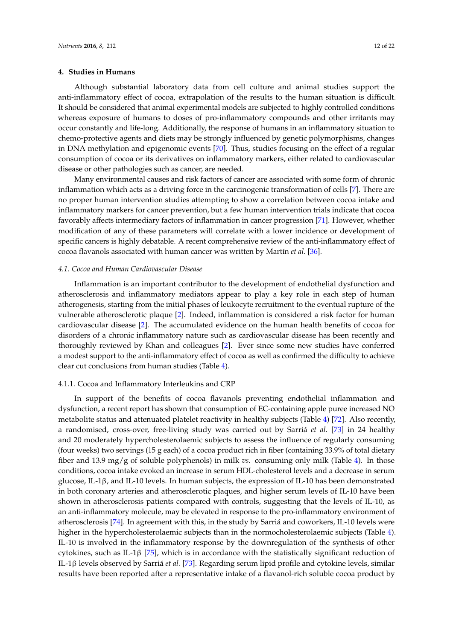## **4. Studies in Humans**

Although substantial laboratory data from cell culture and animal studies support the anti-inflammatory effect of cocoa, extrapolation of the results to the human situation is difficult. It should be considered that animal experimental models are subjected to highly controlled conditions whereas exposure of humans to doses of pro-inflammatory compounds and other irritants may occur constantly and life-long. Additionally, the response of humans in an inflammatory situation to chemo-protective agents and diets may be strongly influenced by genetic polymorphisms, changes in DNA methylation and epigenomic events [\[70\]](#page-19-13). Thus, studies focusing on the effect of a regular consumption of cocoa or its derivatives on inflammatory markers, either related to cardiovascular disease or other pathologies such as cancer, are needed.

Many environmental causes and risk factors of cancer are associated with some form of chronic inflammation which acts as a driving force in the carcinogenic transformation of cells [\[7\]](#page-16-5). There are no proper human intervention studies attempting to show a correlation between cocoa intake and inflammatory markers for cancer prevention, but a few human intervention trials indicate that cocoa favorably affects intermediary factors of inflammation in cancer progression [\[71\]](#page-19-14). However, whether modification of any of these parameters will correlate with a lower incidence or development of specific cancers is highly debatable. A recent comprehensive review of the anti-inflammatory effect of cocoa flavanols associated with human cancer was written by Martín *et al.* [\[36\]](#page-17-9).

## *4.1. Cocoa and Human Cardiovascular Disease*

Inflammation is an important contributor to the development of endothelial dysfunction and atherosclerosis and inflammatory mediators appear to play a key role in each step of human atherogenesis, starting from the initial phases of leukocyte recruitment to the eventual rupture of the vulnerable atherosclerotic plaque [\[2\]](#page-16-0). Indeed, inflammation is considered a risk factor for human cardiovascular disease [\[2\]](#page-16-0). The accumulated evidence on the human health benefits of cocoa for disorders of a chronic inflammatory nature such as cardiovascular disease has been recently and thoroughly reviewed by Khan and colleagues [\[2\]](#page-16-0). Ever since some new studies have conferred a modest support to the anti-inflammatory effect of cocoa as well as confirmed the difficulty to achieve clear cut conclusions from human studies (Table [4\)](#page-13-0).

#### 4.1.1. Cocoa and Inflammatory Interleukins and CRP

In support of the benefits of cocoa flavanols preventing endothelial inflammation and dysfunction, a recent report has shown that consumption of EC-containing apple puree increased NO metabolite status and attenuated platelet reactivity in healthy subjects (Table [4\)](#page-13-0) [\[72\]](#page-19-15). Also recently, a randomised, cross-over, free-living study was carried out by Sarriá *et al.* [\[73\]](#page-19-16) in 24 healthy and 20 moderately hypercholesterolaemic subjects to assess the influence of regularly consuming (four weeks) two servings (15 g each) of a cocoa product rich in fiber (containing 33.9% of total dietary fiber and 13.9 mg/g of soluble polyphenols) in milk *vs.* consuming only milk (Table [4\)](#page-13-0). In those conditions, cocoa intake evoked an increase in serum HDL-cholesterol levels and a decrease in serum glucose, IL-1β, and IL-10 levels. In human subjects, the expression of IL-10 has been demonstrated in both coronary arteries and atherosclerotic plaques, and higher serum levels of IL-10 have been shown in atherosclerosis patients compared with controls, suggesting that the levels of IL-10, as an anti-inflammatory molecule, may be elevated in response to the pro-inflammatory environment of atherosclerosis [\[74\]](#page-19-17). In agreement with this, in the study by Sarriá and coworkers, IL-10 levels were higher in the hypercholesterolaemic subjects than in the normocholesterolaemic subjects (Table [4\)](#page-13-0). IL-10 is involved in the inflammatory response by the downregulation of the synthesis of other cytokines, such as IL-1β [\[75\]](#page-19-18), which is in accordance with the statistically significant reduction of IL-1β levels observed by Sarriá *et al.* [\[73\]](#page-19-16). Regarding serum lipid profile and cytokine levels, similar results have been reported after a representative intake of a flavanol-rich soluble cocoa product by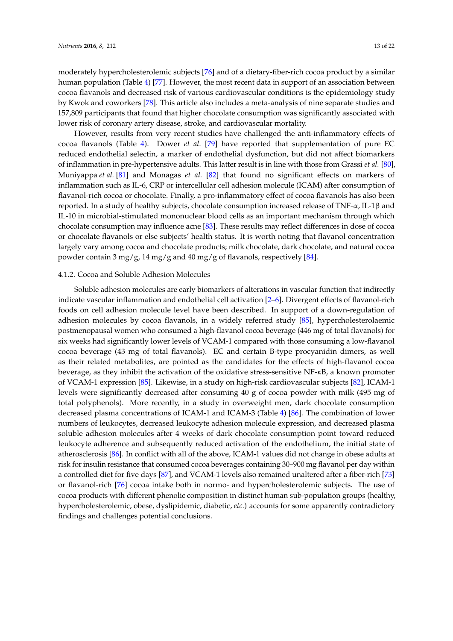moderately hypercholesterolemic subjects [\[76\]](#page-19-19) and of a dietary-fiber-rich cocoa product by a similar human population (Table [4\)](#page-13-0) [\[77\]](#page-19-20). However, the most recent data in support of an association between cocoa flavanols and decreased risk of various cardiovascular conditions is the epidemiology study by Kwok and coworkers [\[78\]](#page-19-21). This article also includes a meta-analysis of nine separate studies and 157,809 participants that found that higher chocolate consumption was significantly associated with lower risk of coronary artery disease, stroke, and cardiovascular mortality.

However, results from very recent studies have challenged the anti-inflammatory effects of cocoa flavanols (Table [4\)](#page-13-0). Dower *et al.* [\[79\]](#page-19-22) have reported that supplementation of pure EC reduced endothelial selectin, a marker of endothelial dysfunction, but did not affect biomarkers of inflammation in pre-hypertensive adults. This latter result is in line with those from Grassi *et al.* [\[80\]](#page-20-0), Muniyappa *et al.* [\[81\]](#page-20-1) and Monagas *et al.* [\[82\]](#page-20-2) that found no significant effects on markers of inflammation such as IL-6, CRP or intercellular cell adhesion molecule (ICAM) after consumption of flavanol-rich cocoa or chocolate. Finally, a pro-inflammatory effect of cocoa flavanols has also been reported. In a study of healthy subjects, chocolate consumption increased release of TNF-α, IL-1β and IL-10 in microbial-stimulated mononuclear blood cells as an important mechanism through which chocolate consumption may influence acne [\[83\]](#page-20-3). These results may reflect differences in dose of cocoa or chocolate flavanols or else subjects' health status. It is worth noting that flavanol concentration largely vary among cocoa and chocolate products; milk chocolate, dark chocolate, and natural cocoa powder contain 3 mg/g, 14 mg/g and 40 mg/g of flavanols, respectively [\[84\]](#page-20-4).

#### 4.1.2. Cocoa and Soluble Adhesion Molecules

Soluble adhesion molecules are early biomarkers of alterations in vascular function that indirectly indicate vascular inflammation and endothelial cell activation [\[2–](#page-16-0)[6\]](#page-16-4). Divergent effects of flavanol-rich foods on cell adhesion molecule level have been described. In support of a down-regulation of adhesion molecules by cocoa flavanols, in a widely referred study [\[85\]](#page-20-5), hypercholesterolaemic postmenopausal women who consumed a high-flavanol cocoa beverage (446 mg of total flavanols) for six weeks had significantly lower levels of VCAM-1 compared with those consuming a low-flavanol cocoa beverage (43 mg of total flavanols). EC and certain B-type procyanidin dimers, as well as their related metabolites, are pointed as the candidates for the effects of high-flavanol cocoa beverage, as they inhibit the activation of the oxidative stress-sensitive NF-κB, a known promoter of VCAM-1 expression [\[85\]](#page-20-5). Likewise, in a study on high-risk cardiovascular subjects [\[82\]](#page-20-2), ICAM-1 levels were significantly decreased after consuming 40 g of cocoa powder with milk (495 mg of total polyphenols). More recently, in a study in overweight men, dark chocolate consumption decreased plasma concentrations of ICAM-1 and ICAM-3 (Table [4\)](#page-13-0) [\[86\]](#page-20-6). The combination of lower numbers of leukocytes, decreased leukocyte adhesion molecule expression, and decreased plasma soluble adhesion molecules after 4 weeks of dark chocolate consumption point toward reduced leukocyte adherence and subsequently reduced activation of the endothelium, the initial state of atherosclerosis [\[86\]](#page-20-6). In conflict with all of the above, ICAM-1 values did not change in obese adults at risk for insulin resistance that consumed cocoa beverages containing 30–900 mg flavanol per day within a controlled diet for five days [\[87\]](#page-20-7), and VCAM-1 levels also remained unaltered after a fiber-rich [\[73\]](#page-19-16) or flavanol-rich [\[76\]](#page-19-19) cocoa intake both in normo- and hypercholesterolemic subjects. The use of cocoa products with different phenolic composition in distinct human sub-population groups (healthy, hypercholesterolemic, obese, dyslipidemic, diabetic, *etc.*) accounts for some apparently contradictory findings and challenges potential conclusions.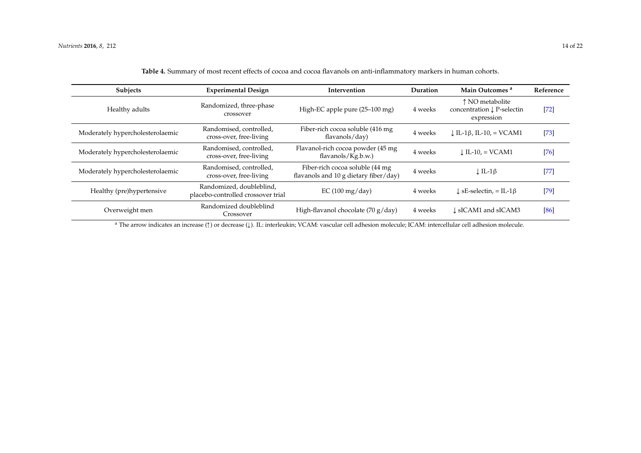<span id="page-13-0"></span>

| <b>Subjects</b>                                                                                                                                                       | <b>Experimental Design</b>                                     | Intervention                                                             | Duration | Main Outcomes <sup>a</sup>                                             | Reference |  |  |  |
|-----------------------------------------------------------------------------------------------------------------------------------------------------------------------|----------------------------------------------------------------|--------------------------------------------------------------------------|----------|------------------------------------------------------------------------|-----------|--|--|--|
| Healthy adults                                                                                                                                                        | Randomized, three-phase<br>crossover                           | High-EC apple pure (25-100 mg)                                           | 4 weeks  | ↑ NO metabolite<br>concentration $\downarrow$ P-selectin<br>expression | $[72]$    |  |  |  |
| Moderately hypercholesterolaemic                                                                                                                                      | Randomised, controlled,<br>cross-over, free-living             | Fiber-rich cocoa soluble (416 mg<br>flavanols/day)                       | 4 weeks  | $LT-1\beta$ , IL-10, = VCAM1                                           | $[73]$    |  |  |  |
| Moderately hypercholesterolaemic                                                                                                                                      | Randomised, controlled,<br>cross-over, free-living             | Flavanol-rich cocoa powder (45 mg<br>flavanols/Kg.b.w.)                  | 4 weeks  | $\downarrow$ IL-10, = VCAM1                                            | $[76]$    |  |  |  |
| Moderately hypercholesterolaemic                                                                                                                                      | Randomised, controlled,<br>cross-over, free-living             | Fiber-rich cocoa soluble (44 mg<br>flavanols and 10 g dietary fiber/day) | 4 weeks  | $\downarrow$ IL-1 $\upbeta$                                            | $[77]$    |  |  |  |
| Healthy (pre)hypertensive                                                                                                                                             | Randomized, doubleblind,<br>placebo-controlled crossover trial | EC(100 mg/day)                                                           | 4 weeks  | $\perp$ sE-selectin, = IL-1 $\beta$                                    | $[79]$    |  |  |  |
| Overweight men                                                                                                                                                        | Randomized doubleblind<br>Crossover                            | High-flavanol chocolate (70 g/day)                                       | 4 weeks  | L <sub>S</sub> ICAM1 and sICAM3                                        | [86]      |  |  |  |
| <sup>a</sup> The arrow indicates an increase (1) or decrease (1). IL: interleukin; VCAM: vascular cell adhesion molecule; ICAM: intercellular cell adhesion molecule. |                                                                |                                                                          |          |                                                                        |           |  |  |  |

**Table 4.** Summary of most recent effects of cocoa and cocoa flavanols on anti-inflammatory markers in human cohorts.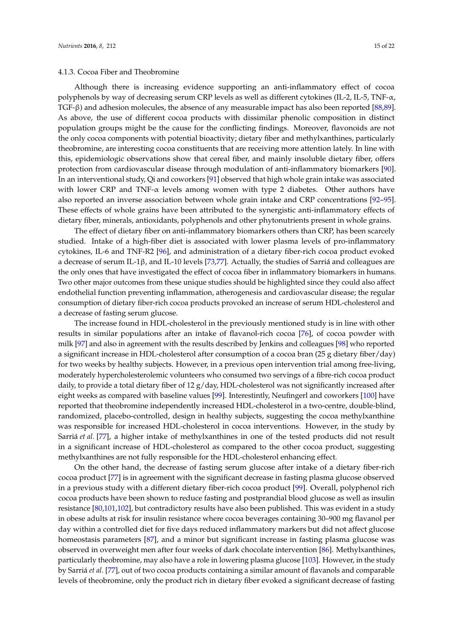## 4.1.3. Cocoa Fiber and Theobromine

Although there is increasing evidence supporting an anti-inflammatory effect of cocoa polyphenols by way of decreasing serum CRP levels as well as different cytokines (IL-2, IL-5, TNF- $\alpha$ , TGF-β) and adhesion molecules, the absence of any measurable impact has also been reported [\[88](#page-20-9)[,89\]](#page-20-10). As above, the use of different cocoa products with dissimilar phenolic composition in distinct population groups might be the cause for the conflicting findings. Moreover, flavonoids are not the only cocoa components with potential bioactivity; dietary fiber and methylxanthines, particularly theobromine, are interesting cocoa constituents that are receiving more attention lately. In line with this, epidemiologic observations show that cereal fiber, and mainly insoluble dietary fiber, offers protection from cardiovascular disease through modulation of anti-inflammatory biomarkers [\[90\]](#page-20-11). In an interventional study, Qi and coworkers [\[91\]](#page-20-12) observed that high whole grain intake was associated with lower CRP and TNF-α levels among women with type 2 diabetes. Other authors have also reported an inverse association between whole grain intake and CRP concentrations [\[92–](#page-20-13)[95\]](#page-20-14). These effects of whole grains have been attributed to the synergistic anti-inflammatory effects of dietary fiber, minerals, antioxidants, polyphenols and other phytonutrients present in whole grains.

The effect of dietary fiber on anti-inflammatory biomarkers others than CRP, has been scarcely studied. Intake of a high-fiber diet is associated with lower plasma levels of pro-inflammatory cytokines, IL-6 and TNF-R2 [\[96\]](#page-20-15), and administration of a dietary fiber-rich cocoa product evoked a decrease of serum IL-1β, and IL-10 levels [\[73](#page-19-16)[,77\]](#page-19-20). Actually, the studies of Sarriá and colleagues are the only ones that have investigated the effect of cocoa fiber in inflammatory biomarkers in humans. Two other major outcomes from these unique studies should be highlighted since they could also affect endothelial function preventing inflammation, atherogenesis and cardiovascular disease; the regular consumption of dietary fiber-rich cocoa products provoked an increase of serum HDL-cholesterol and a decrease of fasting serum glucose.

The increase found in HDL-cholesterol in the previously mentioned study is in line with other results in similar populations after an intake of flavanol-rich cocoa [\[76\]](#page-19-19), of cocoa powder with milk [\[97\]](#page-20-16) and also in agreement with the results described by Jenkins and colleagues [\[98\]](#page-21-0) who reported a significant increase in HDL-cholesterol after consumption of a cocoa bran (25 g dietary fiber/day) for two weeks by healthy subjects. However, in a previous open intervention trial among free-living, moderately hypercholesterolemic volunteers who consumed two servings of a fibre-rich cocoa product daily, to provide a total dietary fiber of 12 g/day, HDL-cholesterol was not significantly increased after eight weeks as compared with baseline values [\[99\]](#page-21-1). Interestintly, Neufingerl and coworkers [\[100\]](#page-21-2) have reported that theobromine independently increased HDL-cholesterol in a two-centre, double-blind, randomized, placebo-controlled, design in healthy subjects, suggesting the cocoa methylxanthine was responsible for increased HDL-cholesterol in cocoa interventions. However, in the study by Sarriá *et al.* [\[77\]](#page-19-20), a higher intake of methylxanthines in one of the tested products did not result in a significant increase of HDL-cholesterol as compared to the other cocoa product, suggesting methylxanthines are not fully responsible for the HDL-cholesterol enhancing effect.

On the other hand, the decrease of fasting serum glucose after intake of a dietary fiber-rich cocoa product [\[77\]](#page-19-20) is in agreement with the significant decrease in fasting plasma glucose observed in a previous study with a different dietary fiber-rich cocoa product [\[99\]](#page-21-1). Overall, polyphenol rich cocoa products have been shown to reduce fasting and postprandial blood glucose as well as insulin resistance [\[80](#page-20-0)[,101](#page-21-3)[,102\]](#page-21-4), but contradictory results have also been published. This was evident in a study in obese adults at risk for insulin resistance where cocoa beverages containing 30–900 mg flavanol per day within a controlled diet for five days reduced inflammatory markers but did not affect glucose homeostasis parameters [\[87\]](#page-20-7), and a minor but significant increase in fasting plasma glucose was observed in overweight men after four weeks of dark chocolate intervention [\[86\]](#page-20-6). Methylxanthines, particularly theobromine, may also have a role in lowering plasma glucose [\[103\]](#page-21-5). However, in the study by Sarriá *et al.* [\[77\]](#page-19-20), out of two cocoa products containing a similar amount of flavanols and comparable levels of theobromine, only the product rich in dietary fiber evoked a significant decrease of fasting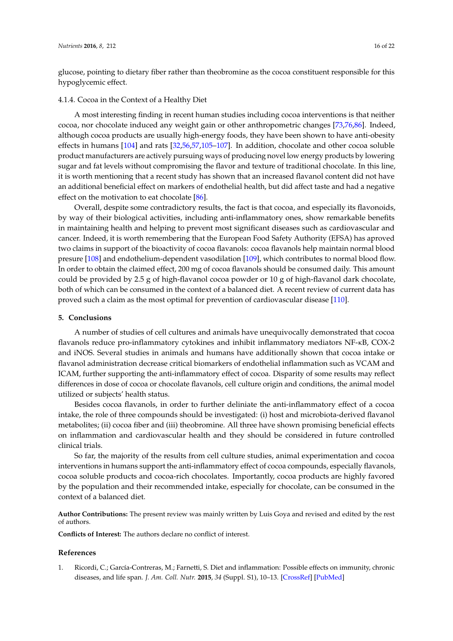glucose, pointing to dietary fiber rather than theobromine as the cocoa constituent responsible for this hypoglycemic effect.

#### 4.1.4. Cocoa in the Context of a Healthy Diet

A most interesting finding in recent human studies including cocoa interventions is that neither cocoa, nor chocolate induced any weight gain or other anthropometric changes [\[73](#page-19-16)[,76](#page-19-19)[,86\]](#page-20-6). Indeed, although cocoa products are usually high-energy foods, they have been shown to have anti-obesity effects in humans [\[104\]](#page-21-6) and rats [\[32,](#page-17-5)[56,](#page-18-19)[57,](#page-18-20)[105](#page-21-7)[–107\]](#page-21-8). In addition, chocolate and other cocoa soluble product manufacturers are actively pursuing ways of producing novel low energy products by lowering sugar and fat levels without compromising the flavor and texture of traditional chocolate. In this line, it is worth mentioning that a recent study has shown that an increased flavanol content did not have an additional beneficial effect on markers of endothelial health, but did affect taste and had a negative effect on the motivation to eat chocolate [\[86\]](#page-20-6).

Overall, despite some contradictory results, the fact is that cocoa, and especially its flavonoids, by way of their biological activities, including anti-inflammatory ones, show remarkable benefits in maintaining health and helping to prevent most significant diseases such as cardiovascular and cancer. Indeed, it is worth remembering that the European Food Safety Authority (EFSA) has aproved two claims in support of the bioactivity of cocoa flavanols: cocoa flavanols help maintain normal blood presure [\[108\]](#page-21-9) and endothelium-dependent vasodilation [\[109\]](#page-21-10), which contributes to normal blood flow. In order to obtain the claimed effect, 200 mg of cocoa flavanols should be consumed daily. This amount could be provided by 2.5 g of high-flavanol cocoa powder or 10 g of high-flavanol dark chocolate, both of which can be consumed in the context of a balanced diet. A recent review of current data has proved such a claim as the most optimal for prevention of cardiovascular disease [\[110\]](#page-21-11).

#### **5. Conclusions**

A number of studies of cell cultures and animals have unequivocally demonstrated that cocoa flavanols reduce pro-inflammatory cytokines and inhibit inflammatory mediators NF-κB, COX-2 and iNOS. Several studies in animals and humans have additionally shown that cocoa intake or flavanol administration decrease critical biomarkers of endothelial inflammation such as VCAM and ICAM, further supporting the anti-inflammatory effect of cocoa. Disparity of some results may reflect differences in dose of cocoa or chocolate flavanols, cell culture origin and conditions, the animal model utilized or subjects' health status.

Besides cocoa flavanols, in order to further deliniate the anti-inflammatory effect of a cocoa intake, the role of three compounds should be investigated: (i) host and microbiota-derived flavanol metabolites; (ii) cocoa fiber and (iii) theobromine. All three have shown promising beneficial effects on inflammation and cardiovascular health and they should be considered in future controlled clinical trials.

So far, the majority of the results from cell culture studies, animal experimentation and cocoa interventions in humans support the anti-inflammatory effect of cocoa compounds, especially flavanols, cocoa soluble products and cocoa-rich chocolates. Importantly, cocoa products are highly favored by the population and their recommended intake, especially for chocolate, can be consumed in the context of a balanced diet.

**Author Contributions:** The present review was mainly written by Luis Goya and revised and edited by the rest of authors.

**Conflicts of Interest:** The authors declare no conflict of interest.

## **References**

<span id="page-15-0"></span>1. Ricordi, C.; García-Contreras, M.; Farnetti, S. Diet and inflammation: Possible effects on immunity, chronic diseases, and life span. *J. Am. Coll. Nutr.* **2015**, *34* (Suppl. S1), 10–13. [\[CrossRef\]](http://dx.doi.org/10.1080/07315724.2015.1080101) [\[PubMed\]](http://www.ncbi.nlm.nih.gov/pubmed/26400428)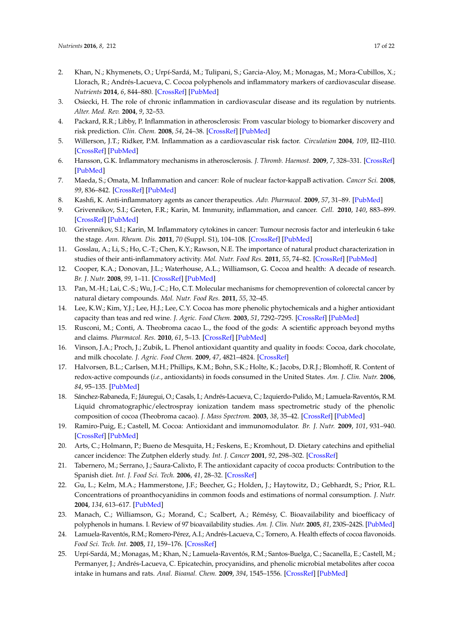- <span id="page-16-0"></span>2. Khan, N.; Khymenets, O.; Urpí-Sardá, M.; Tulipani, S.; Garcia-Aloy, M.; Monagas, M.; Mora-Cubillos, X.; Llorach, R.; Andrés-Lacueva, C. Cocoa polyphenols and inflammatory markers of cardiovascular disease. *Nutrients* **2014**, *6*, 844–880. [\[CrossRef\]](http://dx.doi.org/10.3390/nu6020844) [\[PubMed\]](http://www.ncbi.nlm.nih.gov/pubmed/24566441)
- <span id="page-16-1"></span>3. Osiecki, H. The role of chronic inflammation in cardiovascular disease and its regulation by nutrients. *Alter. Med. Rev.* **2004**, *9*, 32–53.
- <span id="page-16-2"></span>4. Packard, R.R.; Libby, P. Inflammation in atherosclerosis: From vascular biology to biomarker discovery and risk prediction. *Clin. Chem.* **2008**, *54*, 24–38. [\[CrossRef\]](http://dx.doi.org/10.1373/clinchem.2007.097360) [\[PubMed\]](http://www.ncbi.nlm.nih.gov/pubmed/18160725)
- <span id="page-16-3"></span>5. Willerson, J.T.; Ridker, P.M. Inflammation as a cardiovascular risk factor. *Circulation* **2004**, *109*, II2–II10. [\[CrossRef\]](http://dx.doi.org/10.1161/01.CIR.0000129535.04194.38) [\[PubMed\]](http://www.ncbi.nlm.nih.gov/pubmed/15173056)
- <span id="page-16-4"></span>6. Hansson, G.K. Inflammatory mechanisms in atherosclerosis. *J. Thromb. Haemost.* **2009**, *7*, 328–331. [\[CrossRef\]](http://dx.doi.org/10.1111/j.1538-7836.2009.03416.x) [\[PubMed\]](http://www.ncbi.nlm.nih.gov/pubmed/19630827)
- <span id="page-16-5"></span>7. Maeda, S.; Omata, M. Inflammation and cancer: Role of nuclear factor-kappaB activation. *Cancer Sci.* **2008**, *99*, 836–842. [\[CrossRef\]](http://dx.doi.org/10.1111/j.1349-7006.2008.00763.x) [\[PubMed\]](http://www.ncbi.nlm.nih.gov/pubmed/18294278)
- <span id="page-16-6"></span>8. Kashfi, K. Anti-inflammatory agents as cancer therapeutics. *Adv. Pharmacol.* **2009**, *57*, 31–89. [\[PubMed\]](http://www.ncbi.nlm.nih.gov/pubmed/20230759)
- <span id="page-16-7"></span>9. Grivennikov, S.I.; Greten, F.R.; Karin, M. Immunity, inflammation, and cancer. *Cell.* **2010**, *140*, 883–899. [\[CrossRef\]](http://dx.doi.org/10.1016/j.cell.2010.01.025) [\[PubMed\]](http://www.ncbi.nlm.nih.gov/pubmed/20303878)
- <span id="page-16-23"></span><span id="page-16-8"></span>10. Grivennikov, S.I.; Karin, M. Inflammatory cytokines in cancer: Tumour necrosis factor and interleukin 6 take the stage. *Ann. Rheum. Dis.* **2011**, *70* (Suppl. S1), 104–108. [\[CrossRef\]](http://dx.doi.org/10.1136/ard.2010.140145) [\[PubMed\]](http://www.ncbi.nlm.nih.gov/pubmed/21339211)
- <span id="page-16-9"></span>11. Gosslau, A.; Li, S.; Ho, C.-T.; Chen, K.Y.; Rawson, N.E. The importance of natural product characterization in studies of their anti-inflammatory activity. *Mol. Nutr. Food Res.* **2011**, *55*, 74–82. [\[CrossRef\]](http://dx.doi.org/10.1002/mnfr.201000455) [\[PubMed\]](http://www.ncbi.nlm.nih.gov/pubmed/21207514)
- <span id="page-16-10"></span>12. Cooper, K.A.; Donovan, J.L.; Waterhouse, A.L.; Williamson, G. Cocoa and health: A decade of research. *Br. J. Nutr.* **2008**, *99*, 1–11. [\[CrossRef\]](http://dx.doi.org/10.1017/S0007114507795296) [\[PubMed\]](http://www.ncbi.nlm.nih.gov/pubmed/17666148)
- <span id="page-16-11"></span>13. Pan, M.-H.; Lai, C.-S.; Wu, J.-C.; Ho, C.T. Molecular mechanisms for chemoprevention of colorectal cancer by natural dietary compounds. *Mol. Nutr. Food Res.* **2011**, *55*, 32–45.
- <span id="page-16-12"></span>14. Lee, K.W.; Kim, Y.J.; Lee, H.J.; Lee, C.Y. Cocoa has more phenolic phytochemicals and a higher antioxidant capacity than teas and red wine. *J. Agric. Food Chem.* **2003**, *51*, 7292–7295. [\[CrossRef\]](http://dx.doi.org/10.1021/jf0344385) [\[PubMed\]](http://www.ncbi.nlm.nih.gov/pubmed/14640573)
- 15. Rusconi, M.; Conti, A. Theobroma cacao L., the food of the gods: A scientific approach beyond myths and claims. *Pharmacol. Res.* **2010**, *61*, 5–13. [\[CrossRef\]](http://dx.doi.org/10.1016/j.phrs.2009.08.008) [\[PubMed\]](http://www.ncbi.nlm.nih.gov/pubmed/19735732)
- <span id="page-16-13"></span>16. Vinson, J.A.; Proch, J.; Zubik, L. Phenol antioxidant quantity and quality in foods: Cocoa, dark chocolate, and milk chocolate. *J. Agric. Food Chem.* **2009**, *47*, 4821–4824. [\[CrossRef\]](http://dx.doi.org/10.1021/jf990312p)
- <span id="page-16-14"></span>17. Halvorsen, B.L.; Carlsen, M.H.; Phillips, K.M.; Bohn, S.K.; Holte, K.; Jacobs, D.R.J.; Blomhoff, R. Content of redox-active compounds (*i.e.*, antioxidants) in foods consumed in the United States. *Am. J. Clin. Nutr.* **2006**, *84*, 95–135. [\[PubMed\]](http://www.ncbi.nlm.nih.gov/pubmed/16825686)
- <span id="page-16-15"></span>18. Sánchez-Rabaneda, F.; Jáuregui, O.; Casals, I.; Andrés-Lacueva, C.; Izquierdo-Pulido, M.; Lamuela-Raventós, R.M. Liquid chromatographic/electrospray ionization tandem mass spectrometric study of the phenolic composition of cocoa (Theobroma cacao). *J. Mass Spectrom.* **2003**, *38*, 35–42. [\[CrossRef\]](http://dx.doi.org/10.1002/jms.395) [\[PubMed\]](http://www.ncbi.nlm.nih.gov/pubmed/12526004)
- <span id="page-16-16"></span>19. Ramiro-Puig, E.; Castell, M. Cocoa: Antioxidant and immunomodulator. *Br. J. Nutr.* **2009**, *101*, 931–940. [\[CrossRef\]](http://dx.doi.org/10.1017/S0007114508169896) [\[PubMed\]](http://www.ncbi.nlm.nih.gov/pubmed/19126261)
- <span id="page-16-17"></span>20. Arts, C.; Holmann, P.; Bueno de Mesquita, H.; Feskens, E.; Kromhout, D. Dietary catechins and epithelial cancer incidence: The Zutphen elderly study. *Int. J. Cancer* **2001**, *92*, 298–302. [\[CrossRef\]](http://dx.doi.org/10.1002/1097-0215(200102)9999:9999<::AID-IJC1187>3.0.CO;2-8)
- <span id="page-16-18"></span>21. Tabernero, M.; Serrano, J.; Saura-Calixto, F. The antioxidant capacity of cocoa products: Contribution to the Spanish diet. *Int. J. Food Sci. Tech.* **2006**, *41*, 28–32. [\[CrossRef\]](http://dx.doi.org/10.1111/j.1365-2621.2006.01239.x)
- <span id="page-16-19"></span>22. Gu, L.; Kelm, M.A.; Hammerstone, J.F.; Beecher, G.; Holden, J.; Haytowitz, D.; Gebhardt, S.; Prior, R.L. Concentrations of proanthocyanidins in common foods and estimations of normal consumption. *J. Nutr.* **2004**, *134*, 613–617. [\[PubMed\]](http://www.ncbi.nlm.nih.gov/pubmed/14988456)
- <span id="page-16-20"></span>23. Manach, C.; Williamson, G.; Morand, C.; Scalbert, A.; Rémésy, C. Bioavailability and bioefficacy of polyphenols in humans. I. Review of 97 bioavailability studies. *Am. J. Clin. Nutr.* **2005**, *81*, 230S–242S. [\[PubMed\]](http://www.ncbi.nlm.nih.gov/pubmed/15640486)
- <span id="page-16-21"></span>24. Lamuela-Raventós, R.M.; Romero-Pérez, A.I.; Andrés-Lacueva, C.; Tornero, A. Health effects of cocoa flavonoids. *Food Sci. Tech. Int.* **2005**, *11*, 159–176. [\[CrossRef\]](http://dx.doi.org/10.1177/1082013205054498)
- <span id="page-16-22"></span>25. Urpí-Sardá, M.; Monagas, M.; Khan, N.; Lamuela-Raventós, R.M.; Santos-Buelga, C.; Sacanella, E.; Castell, M.; Permanyer, J.; Andrés-Lacueva, C. Epicatechin, procyanidins, and phenolic microbial metabolites after cocoa intake in humans and rats. *Anal. Bioanal. Chem.* **2009**, *394*, 1545–1556. [\[CrossRef\]](http://dx.doi.org/10.1007/s00216-009-2676-1) [\[PubMed\]](http://www.ncbi.nlm.nih.gov/pubmed/19333587)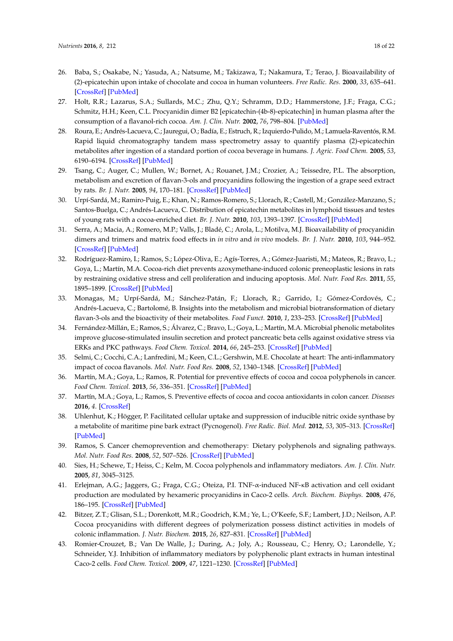- <span id="page-17-0"></span>26. Baba, S.; Osakabe, N.; Yasuda, A.; Natsume, M.; Takizawa, T.; Nakamura, T.; Terao, J. Bioavailability of (2)-epicatechin upon intake of chocolate and cocoa in human volunteers. *Free Radic. Res.* **2000**, *33*, 635–641. [\[CrossRef\]](http://dx.doi.org/10.1080/10715760000301151) [\[PubMed\]](http://www.ncbi.nlm.nih.gov/pubmed/11200094)
- <span id="page-17-20"></span>27. Holt, R.R.; Lazarus, S.A.; Sullards, M.C.; Zhu, Q.Y.; Schramm, D.D.; Hammerstone, J.F.; Fraga, C.G.; Schmitz, H.H.; Keen, C.L. Procyanidin dimer B2 [epicatechin-(4b-8)-epicatechin] in human plasma after the consumption of a flavanol-rich cocoa. *Am. J. Clin. Nutr.* **2002**, *76*, 798–804. [\[PubMed\]](http://www.ncbi.nlm.nih.gov/pubmed/12324293)
- <span id="page-17-1"></span>28. Roura, E.; Andrés-Lacueva, C.; Jauregui, O.; Badía, E.; Estruch, R.; Izquierdo-Pulido, M.; Lamuela-Raventós, R.M. Rapid liquid chromatography tandem mass spectrometry assay to quantify plasma (2)-epicatechin metabolites after ingestion of a standard portion of cocoa beverage in humans. *J. Agric. Food Chem.* **2005**, *53*, 6190–6194. [\[CrossRef\]](http://dx.doi.org/10.1021/jf050377u) [\[PubMed\]](http://www.ncbi.nlm.nih.gov/pubmed/16076092)
- <span id="page-17-17"></span><span id="page-17-2"></span>29. Tsang, C.; Auger, C.; Mullen, W.; Bornet, A.; Rouanet, J.M.; Crozier, A.; Teissedre, P.L. The absorption, metabolism and excretion of flavan-3-ols and procyanidins following the ingestion of a grape seed extract by rats. *Br. J. Nutr.* **2005**, *94*, 170–181. [\[CrossRef\]](http://dx.doi.org/10.1079/BJN20051480) [\[PubMed\]](http://www.ncbi.nlm.nih.gov/pubmed/16115350)
- <span id="page-17-3"></span>30. Urpí-Sardá, M.; Ramiro-Puig, E.; Khan, N.; Ramos-Romero, S.; Llorach, R.; Castell, M.; González-Manzano, S.; Santos-Buelga, C.; Andrés-Lacueva, C. Distribution of epicatechin metabolites in lymphoid tissues and testes of young rats with a cocoa-enriched diet. *Br. J. Nutr.* **2010**, *103*, 1393–1397. [\[CrossRef\]](http://dx.doi.org/10.1017/S0007114509993473) [\[PubMed\]](http://www.ncbi.nlm.nih.gov/pubmed/20100378)
- <span id="page-17-4"></span>31. Serra, A.; Macia, A.; Romero, M.P.; Valls, J.; Bladé, C.; Arola, L.; Motilva, M.J. Bioavailability of procyanidin dimers and trimers and matrix food effects in *in vitro* and *in vivo* models. *Br. J. Nutr.* **2010**, *103*, 944–952. [\[CrossRef\]](http://dx.doi.org/10.1017/S0007114509992741) [\[PubMed\]](http://www.ncbi.nlm.nih.gov/pubmed/20003617)
- <span id="page-17-5"></span>32. Rodríguez-Ramiro, I.; Ramos, S.; López-Oliva, E.; Agís-Torres, A.; Gómez-Juaristi, M.; Mateos, R.; Bravo, L.; Goya, L.; Martín, M.A. Cocoa-rich diet prevents azoxymethane-induced colonic preneoplastic lesions in rats by restraining oxidative stress and cell proliferation and inducing apoptosis. *Mol. Nutr. Food Res.* **2011**, *55*, 1895–1899. [\[CrossRef\]](http://dx.doi.org/10.1002/mnfr.201100363) [\[PubMed\]](http://www.ncbi.nlm.nih.gov/pubmed/21953728)
- <span id="page-17-18"></span><span id="page-17-6"></span>33. Monagas, M.; Urpí-Sardá, M.; Sánchez-Patán, F.; Llorach, R.; Garrido, I.; Gómez-Cordovés, C.; Andrés-Lacueva, C.; Bartolomé, B. Insights into the metabolism and microbial biotransformation of dietary flavan-3-ols and the bioactivity of their metabolites. *Food Funct.* **2010**, *1*, 233–253. [\[CrossRef\]](http://dx.doi.org/10.1039/c0fo00132e) [\[PubMed\]](http://www.ncbi.nlm.nih.gov/pubmed/21776473)
- <span id="page-17-19"></span><span id="page-17-7"></span>34. Fernández-Millán, E.; Ramos, S.; Álvarez, C.; Bravo, L.; Goya, L.; Martín, M.A. Microbial phenolic metabolites improve glucose-stimulated insulin secretion and protect pancreatic beta cells against oxidative stress via ERKs and PKC pathways. *Food Chem. Toxicol.* **2014**, *66*, 245–253. [\[CrossRef\]](http://dx.doi.org/10.1016/j.fct.2014.01.044) [\[PubMed\]](http://www.ncbi.nlm.nih.gov/pubmed/24491264)
- <span id="page-17-8"></span>35. Selmi, C.; Cocchi, C.A.; Lanfredini, M.; Keen, C.L.; Gershwin, M.E. Chocolate at heart: The anti-inflammatory impact of cocoa flavanols. *Mol. Nutr. Food Res.* **2008**, *52*, 1340–1348. [\[CrossRef\]](http://dx.doi.org/10.1002/mnfr.200700435) [\[PubMed\]](http://www.ncbi.nlm.nih.gov/pubmed/18991246)
- <span id="page-17-9"></span>36. Martín, M.A.; Goya, L.; Ramos, R. Potential for preventive effects of cocoa and cocoa polyphenols in cancer. *Food Chem. Toxicol.* **2013**, *56*, 336–351. [\[CrossRef\]](http://dx.doi.org/10.1016/j.fct.2013.02.020) [\[PubMed\]](http://www.ncbi.nlm.nih.gov/pubmed/23439478)
- <span id="page-17-10"></span>37. Martín, M.A.; Goya, L.; Ramos, S. Preventive effects of cocoa and cocoa antioxidants in colon cancer. *Diseases* **2016**, *4*. [\[CrossRef\]](http://dx.doi.org/10.3390/diseases4010006)
- <span id="page-17-11"></span>38. Uhlenhut, K.; Högger, P. Facilitated cellular uptake and suppression of inducible nitric oxide synthase by a metabolite of maritime pine bark extract (Pycnogenol). *Free Radic. Biol. Med.* **2012**, *53*, 305–313. [\[CrossRef\]](http://dx.doi.org/10.1016/j.freeradbiomed.2012.04.013) [\[PubMed\]](http://www.ncbi.nlm.nih.gov/pubmed/22569413)
- <span id="page-17-12"></span>39. Ramos, S. Cancer chemoprevention and chemotherapy: Dietary polyphenols and signaling pathways. *Mol. Nutr. Food Res.* **2008**, *52*, 507–526. [\[CrossRef\]](http://dx.doi.org/10.1002/mnfr.200700326) [\[PubMed\]](http://www.ncbi.nlm.nih.gov/pubmed/18435439)
- <span id="page-17-13"></span>40. Sies, H.; Schewe, T.; Heiss, C.; Kelm, M. Cocoa polyphenols and inflammatory mediators. *Am. J. Clin. Nutr.* **2005**, *81*, 3045–3125.
- <span id="page-17-14"></span>41. Erlejman, A.G.; Jaggers, G.; Fraga, C.G.; Oteiza, P.I. TNF-α-induced NF-κB activation and cell oxidant production are modulated by hexameric procyanidins in Caco-2 cells. *Arch. Biochem. Biophys.* **2008**, *476*, 186–195. [\[CrossRef\]](http://dx.doi.org/10.1016/j.abb.2008.01.024) [\[PubMed\]](http://www.ncbi.nlm.nih.gov/pubmed/18275839)
- <span id="page-17-15"></span>42. Bitzer, Z.T.; Glisan, S.L.; Dorenkott, M.R.; Goodrich, K.M.; Ye, L.; O'Keefe, S.F.; Lambert, J.D.; Neilson, A.P. Cocoa procyanidins with different degrees of polymerization possess distinct activities in models of colonic inflammation. *J. Nutr. Biochem.* **2015**, *26*, 827–831. [\[CrossRef\]](http://dx.doi.org/10.1016/j.jnutbio.2015.02.007) [\[PubMed\]](http://www.ncbi.nlm.nih.gov/pubmed/25869594)
- <span id="page-17-16"></span>43. Romier-Crouzet, B.; Van De Walle, J.; During, A.; Joly, A.; Rousseau, C.; Henry, O.; Larondelle, Y.; Schneider, Y.J. Inhibition of inflammatory mediators by polyphenolic plant extracts in human intestinal Caco-2 cells. *Food Chem. Toxicol.* **2009**, *47*, 1221–1230. [\[CrossRef\]](http://dx.doi.org/10.1016/j.fct.2009.02.015) [\[PubMed\]](http://www.ncbi.nlm.nih.gov/pubmed/19233242)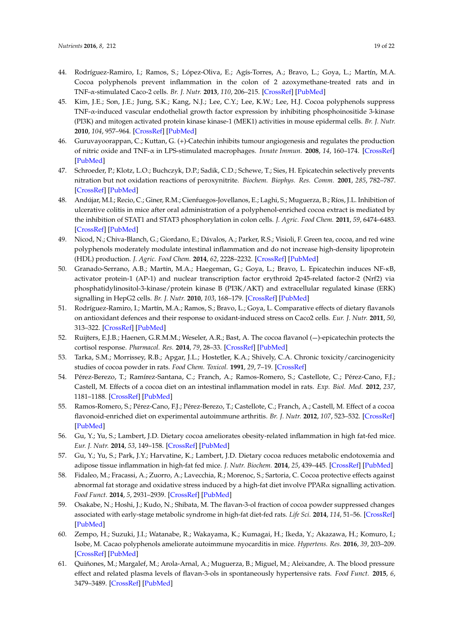- <span id="page-18-11"></span><span id="page-18-10"></span><span id="page-18-9"></span><span id="page-18-8"></span><span id="page-18-7"></span><span id="page-18-6"></span><span id="page-18-5"></span><span id="page-18-0"></span>44. Rodríguez-Ramiro, I.; Ramos, S.; López-Oliva, E.; Agís-Torres, A.; Bravo, L.; Goya, L.; Martín, M.A. Cocoa polyphenols prevent inflammation in the colon of 2 azoxymethane-treated rats and in TNF-α-stimulated Caco-2 cells. *Br. J. Nutr.* **2013**, *110*, 206–215. [\[CrossRef\]](http://dx.doi.org/10.1017/S0007114512004862) [\[PubMed\]](http://www.ncbi.nlm.nih.gov/pubmed/23186731)
- <span id="page-18-1"></span>45. Kim, J.E.; Son, J.E.; Jung, S.K.; Kang, N.J.; Lee, C.Y.; Lee, K.W.; Lee, H.J. Cocoa polyphenols suppress TNF-α-induced vascular endothelial growth factor expression by inhibiting phosphoinositide 3-kinase (PI3K) and mitogen activated protein kinase kinase-1 (MEK1) activities in mouse epidermal cells. *Br. J. Nutr.* **2010**, *104*, 957–964. [\[CrossRef\]](http://dx.doi.org/10.1017/S0007114510001704) [\[PubMed\]](http://www.ncbi.nlm.nih.gov/pubmed/20550744)
- <span id="page-18-2"></span>46. Guruvayoorappan, C.; Kuttan, G. (+)-Catechin inhibits tumour angiogenesis and regulates the production of nitric oxide and TNF-α in LPS-stimulated macrophages. *Innate Immun.* **2008**, *14*, 160–174. [\[CrossRef\]](http://dx.doi.org/10.1177/1753425908093295) [\[PubMed\]](http://www.ncbi.nlm.nih.gov/pubmed/18562575)
- <span id="page-18-28"></span><span id="page-18-3"></span>47. Schroeder, P.; Klotz, L.O.; Buchczyk, D.P.; Sadik, C.D.; Schewe, T.; Sies, H. Epicatechin selectively prevents nitration but not oxidation reactions of peroxynitrite. *Biochem. Biophys. Res. Comm.* **2001**, *285*, 782–787. [\[CrossRef\]](http://dx.doi.org/10.1006/bbrc.2001.5210) [\[PubMed\]](http://www.ncbi.nlm.nih.gov/pubmed/11453660)
- <span id="page-18-4"></span>48. Andújar, M.I.; Recio, C.; Giner, R.M.; Cienfuegos-Jovellanos, E.; Laghi, S.; Muguerza, B.; Ríos, J.L. Inhibition of ulcerative colitis in mice after oral administration of a polyphenol-enriched cocoa extract is mediated by the inhibition of STAT1 and STAT3 phosphorylation in colon cells. *J. Agric. Food Chem.* **2011**, *59*, 6474–6483. [\[CrossRef\]](http://dx.doi.org/10.1021/jf2008925) [\[PubMed\]](http://www.ncbi.nlm.nih.gov/pubmed/21574661)
- <span id="page-18-25"></span><span id="page-18-14"></span>49. Nicod, N.; Chiva-Blanch, G.; Giordano, E.; Dávalos, A.; Parker, R.S.; Visioli, F. Green tea, cocoa, and red wine polyphenols moderately modulate intestinal inflammation and do not increase high-density lipoprotein (HDL) production. *J. Agric. Food Chem.* **2014**, *62*, 2228–2232. [\[CrossRef\]](http://dx.doi.org/10.1021/jf500348u) [\[PubMed\]](http://www.ncbi.nlm.nih.gov/pubmed/24559192)
- <span id="page-18-26"></span><span id="page-18-15"></span>50. Granado-Serrano, A.B.; Martín, M.A.; Haegeman, G.; Goya, L.; Bravo, L. Epicatechin induces NF-κB, activator protein-1 (AP-1) and nuclear transcription factor erythroid 2p45-related factor-2 (Nrf2) via phosphatidylinositol-3-kinase/protein kinase B (PI3K/AKT) and extracellular regulated kinase (ERK) signalling in HepG2 cells. *Br. J. Nutr.* **2010**, *103*, 168–179. [\[CrossRef\]](http://dx.doi.org/10.1017/S0007114509991747) [\[PubMed\]](http://www.ncbi.nlm.nih.gov/pubmed/20030899)
- <span id="page-18-12"></span>51. Rodríguez-Ramiro, I.; Martín, M.A.; Ramos, S.; Bravo, L.; Goya, L. Comparative effects of dietary flavanols on antioxidant defences and their response to oxidant-induced stress on Caco2 cells. *Eur. J. Nutr.* **2011**, *50*, 313–322. [\[CrossRef\]](http://dx.doi.org/10.1007/s00394-010-0139-2) [\[PubMed\]](http://www.ncbi.nlm.nih.gov/pubmed/21046126)
- <span id="page-18-27"></span><span id="page-18-13"></span>52. Ruijters, E.J.B.; Haenen, G.R.M.M.; Weseler, A.R.; Bast, A. The cocoa flavanol (-)-epicatechin protects the cortisol response. *Pharmacol. Res.* **2014**, *79*, 28–33. [\[CrossRef\]](http://dx.doi.org/10.1016/j.phrs.2013.11.004) [\[PubMed\]](http://www.ncbi.nlm.nih.gov/pubmed/24269961)
- <span id="page-18-16"></span>53. Tarka, S.M.; Morrissey, R.B.; Apgar, J.L.; Hostetler, K.A.; Shively, C.A. Chronic toxicity/carcinogenicity studies of cocoa powder in rats. *Food Chem. Toxicol.* **1991**, *29*, 7–19. [\[CrossRef\]](http://dx.doi.org/10.1016/0278-6915(91)90057-E)
- <span id="page-18-17"></span>54. Pérez-Berezo, T.; Ramírez-Santana, C.; Franch, A.; Ramos-Romero, S.; Castellote, C.; Pérez-Cano, F.J.; Castell, M. Effects of a cocoa diet on an intestinal inflammation model in rats. *Exp. Biol. Med.* **2012**, *237*, 1181–1188. [\[CrossRef\]](http://dx.doi.org/10.1258/ebm.2012.012083) [\[PubMed\]](http://www.ncbi.nlm.nih.gov/pubmed/23104506)
- <span id="page-18-18"></span>55. Ramos-Romero, S.; Pérez-Cano, F.J.; Pérez-Berezo, T.; Castellote, C.; Franch, A.; Castell, M. Effect of a cocoa flavonoid-enriched diet on experimental autoimmune arthritis. *Br. J. Nutr.* **2012**, *107*, 523–532. [\[CrossRef\]](http://dx.doi.org/10.1017/S000711451100328X) [\[PubMed\]](http://www.ncbi.nlm.nih.gov/pubmed/21771382)
- <span id="page-18-19"></span>56. Gu, Y.; Yu, S.; Lambert, J.D. Dietary cocoa ameliorates obesity-related inflammation in high fat-fed mice. *Eur. J. Nutr.* **2014**, *53*, 149–158. [\[CrossRef\]](http://dx.doi.org/10.1007/s00394-013-0510-1) [\[PubMed\]](http://www.ncbi.nlm.nih.gov/pubmed/23494741)
- <span id="page-18-20"></span>57. Gu, Y.; Yu, S.; Park, J.Y.; Harvatine, K.; Lambert, J.D. Dietary cocoa reduces metabolic endotoxemia and adipose tissue inflammation in high-fat fed mice. *J. Nutr. Biochem.* **2014**, *25*, 439–445. [\[CrossRef\]](http://dx.doi.org/10.1016/j.jnutbio.2013.12.004) [\[PubMed\]](http://www.ncbi.nlm.nih.gov/pubmed/24561154)
- <span id="page-18-21"></span>58. Fidaleo, M.; Fracassi, A.; Zuorro, A.; Lavecchia, R.; Morenoc, S.; Sartoria, C. Cocoa protective effects against abnormal fat storage and oxidative stress induced by a high-fat diet involve PPARα signalling activation. *Food Funct.* **2014**, *5*, 2931–2939. [\[CrossRef\]](http://dx.doi.org/10.1039/C4FO00616J) [\[PubMed\]](http://www.ncbi.nlm.nih.gov/pubmed/25214316)
- <span id="page-18-22"></span>59. Osakabe, N.; Hoshi, J.; Kudo, N.; Shibata, M. The flavan-3-ol fraction of cocoa powder suppressed changes associated with early-stage metabolic syndrome in high-fat diet-fed rats. *Life Sci.* **2014**, *114*, 51–56. [\[CrossRef\]](http://dx.doi.org/10.1016/j.lfs.2014.07.041) [\[PubMed\]](http://www.ncbi.nlm.nih.gov/pubmed/25132363)
- <span id="page-18-23"></span>60. Zempo, H.; Suzuki, J.I.; Watanabe, R.; Wakayama, K.; Kumagai, H.; Ikeda, Y.; Akazawa, H.; Komuro, I.; Isobe, M. Cacao polyphenols ameliorate autoimmune myocarditis in mice. *Hypertens. Res.* **2016**, *39*, 203–209. [\[CrossRef\]](http://dx.doi.org/10.1038/hr.2015.136) [\[PubMed\]](http://www.ncbi.nlm.nih.gov/pubmed/26657007)
- <span id="page-18-24"></span>61. Quiñones, M.; Margalef, M.; Arola-Arnal, A.; Muguerza, B.; Miguel, M.; Aleixandre, A. The blood pressure effect and related plasma levels of flavan-3-ols in spontaneously hypertensive rats. *Food Funct.* **2015**, *6*, 3479–3489. [\[CrossRef\]](http://dx.doi.org/10.1039/C5FO00547G) [\[PubMed\]](http://www.ncbi.nlm.nih.gov/pubmed/26294331)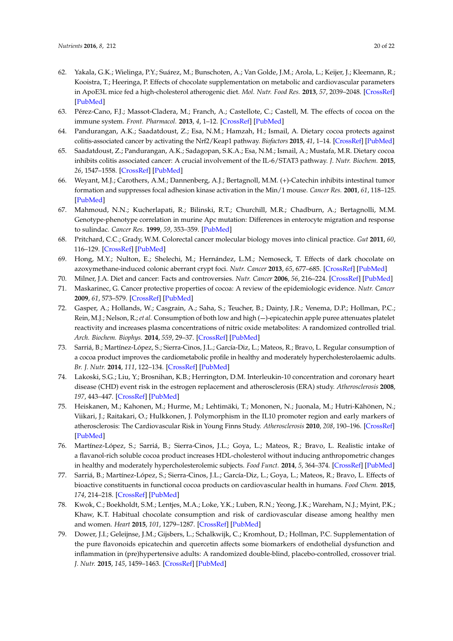- <span id="page-19-12"></span><span id="page-19-11"></span><span id="page-19-10"></span><span id="page-19-9"></span><span id="page-19-1"></span><span id="page-19-0"></span>62. Yakala, G.K.; Wielinga, P.Y.; Suárez, M.; Bunschoten, A.; Van Golde, J.M.; Arola, L.; Keijer, J.; Kleemann, R.; Kooistra, T.; Heeringa, P. Effects of chocolate supplementation on metabolic and cardiovascular parameters in ApoE3L mice fed a high-cholesterol atherogenic diet. *Mol. Nutr. Food Res.* **2013**, *57*, 2039–2048. [\[CrossRef\]](http://dx.doi.org/10.1002/mnfr.201200858) [\[PubMed\]](http://www.ncbi.nlm.nih.gov/pubmed/23946229)
- <span id="page-19-23"></span><span id="page-19-2"></span>63. Pérez-Cano, F.J.; Massot-Cladera, M.; Franch, A.; Castellote, C.; Castell, M. The effects of cocoa on the immune system. *Front. Pharmacol.* **2013**, *4*, 1–12. [\[CrossRef\]](http://dx.doi.org/10.3389/fphar.2013.00071) [\[PubMed\]](http://www.ncbi.nlm.nih.gov/pubmed/23759861)
- <span id="page-19-3"></span>64. Pandurangan, A.K.; Saadatdoust, Z.; Esa, N.M.; Hamzah, H.; Ismail, A. Dietary cocoa protects against colitis-associated cancer by activating the Nrf2/Keap1 pathway. *Biofactors* **2015**, *41*, 1–14. [\[CrossRef\]](http://dx.doi.org/10.1002/biof.1195) [\[PubMed\]](http://www.ncbi.nlm.nih.gov/pubmed/25545372)
- <span id="page-19-24"></span><span id="page-19-4"></span>65. Saadatdoust, Z.; Pandurangan, A.K.; Sadagopan, S.K.A.; Esa, N.M.; Ismail, A.; Mustafa, M.R. Dietary cocoa inhibits colitis associated cancer: A crucial involvement of the IL-6/STAT3 pathway. *J. Nutr. Biochem.* **2015**, *26*, 1547–1558. [\[CrossRef\]](http://dx.doi.org/10.1016/j.jnutbio.2015.07.024) [\[PubMed\]](http://www.ncbi.nlm.nih.gov/pubmed/26355019)
- <span id="page-19-5"></span>66. Weyant, M.J.; Carothers, A.M.; Dannenberg, A.J.; Bertagnoll, M.M. (+)-Catechin inhibits intestinal tumor formation and suppresses focal adhesion kinase activation in the Min/1 mouse. *Cancer Res.* **2001**, *61*, 118–125. [\[PubMed\]](http://www.ncbi.nlm.nih.gov/pubmed/11196148)
- <span id="page-19-6"></span>67. Mahmoud, N.N.; Kucherlapati, R.; Bilinski, R.T.; Churchill, M.R.; Chadburn, A.; Bertagnolli, M.M. Genotype-phenotype correlation in murine Apc mutation: Differences in enterocyte migration and response to sulindac. *Cancer Res.* **1999**, *59*, 353–359. [\[PubMed\]](http://www.ncbi.nlm.nih.gov/pubmed/9927046)
- <span id="page-19-7"></span>68. Pritchard, C.C.; Grady, W.M. Colorectal cancer molecular biology moves into clinical practice. *Gut* **2011**, *60*, 116–129. [\[CrossRef\]](http://dx.doi.org/10.1136/gut.2009.206250) [\[PubMed\]](http://www.ncbi.nlm.nih.gov/pubmed/20921207)
- <span id="page-19-8"></span>69. Hong, M.Y.; Nulton, E.; Shelechi, M.; Hernández, L.M.; Nemoseck, T. Effects of dark chocolate on azoxymethane-induced colonic aberrant crypt foci. *Nutr. Cancer* **2013**, *65*, 677–685. [\[CrossRef\]](http://dx.doi.org/10.1080/01635581.2013.789542) [\[PubMed\]](http://www.ncbi.nlm.nih.gov/pubmed/23859035)
- <span id="page-19-25"></span><span id="page-19-13"></span>70. Milner, J.A. Diet and cancer: Facts and controversies. *Nutr. Cancer* **2006**, *56*, 216–224. [\[CrossRef\]](http://dx.doi.org/10.1207/s15327914nc5602_13) [\[PubMed\]](http://www.ncbi.nlm.nih.gov/pubmed/17474868)
- <span id="page-19-14"></span>71. Maskarinec, G. Cancer protective properties of cocoa: A review of the epidemiologic evidence. *Nutr. Cancer* **2009**, *61*, 573–579. [\[CrossRef\]](http://dx.doi.org/10.1080/01635580902825662) [\[PubMed\]](http://www.ncbi.nlm.nih.gov/pubmed/19838930)
- <span id="page-19-15"></span>72. Gasper, A.; Hollands, W.; Casgrain, A.; Saha, S.; Teucher, B.; Dainty, J.R.; Venema, D.P.; Hollman, P.C.; Rein, M.J.; Nelson, R.; *et al.* Consumption of both low and high (-)-epicatechin apple puree attenuates platelet reactivity and increases plasma concentrations of nitric oxide metabolites: A randomized controlled trial. *Arch. Biochem. Biophys.* **2014**, *559*, 29–37. [\[CrossRef\]](http://dx.doi.org/10.1016/j.abb.2014.05.026) [\[PubMed\]](http://www.ncbi.nlm.nih.gov/pubmed/24929184)
- <span id="page-19-26"></span><span id="page-19-16"></span>73. Sarriá, B.; Martínez-López, S.; Sierra-Cinos, J.L.; García-Diz, L.; Mateos, R.; Bravo, L. Regular consumption of a cocoa product improves the cardiometabolic profile in healthy and moderately hypercholesterolaemic adults. *Br. J. Nutr.* **2014**, *111*, 122–134. [\[CrossRef\]](http://dx.doi.org/10.1017/S000711451300202X) [\[PubMed\]](http://www.ncbi.nlm.nih.gov/pubmed/23823716)
- <span id="page-19-17"></span>74. Lakoski, S.G.; Liu, Y.; Brosnihan, K.B.; Herrington, D.M. Interleukin-10 concentration and coronary heart disease (CHD) event risk in the estrogen replacement and atherosclerosis (ERA) study. *Atherosclerosis* **2008**, *197*, 443–447. [\[CrossRef\]](http://dx.doi.org/10.1016/j.atherosclerosis.2007.06.033) [\[PubMed\]](http://www.ncbi.nlm.nih.gov/pubmed/17706223)
- <span id="page-19-18"></span>75. Heiskanen, M.; Kahonen, M.; Hurme, M.; Lehtimäki, T.; Mononen, N.; Juonala, M.; Hutri-Kähönen, N.; Viikari, J.; Raitakari, O.; Hulkkonen, J. Polymorphism in the IL10 promoter region and early markers of atherosclerosis: The Cardiovascular Risk in Young Finns Study. *Atherosclerosis* **2010**, *208*, 190–196. [\[CrossRef\]](http://dx.doi.org/10.1016/j.atherosclerosis.2009.06.032) [\[PubMed\]](http://www.ncbi.nlm.nih.gov/pubmed/19700159)
- <span id="page-19-19"></span>76. Martínez-López, S.; Sarriá, B.; Sierra-Cinos, J.L.; Goya, L.; Mateos, R.; Bravo, L. Realistic intake of a flavanol-rich soluble cocoa product increases HDL-cholesterol without inducing anthropometric changes in healthy and moderately hypercholesterolemic subjects. *Food Funct.* **2014**, *5*, 364–374. [\[CrossRef\]](http://dx.doi.org/10.1039/c3fo60352k) [\[PubMed\]](http://www.ncbi.nlm.nih.gov/pubmed/24394704)
- <span id="page-19-20"></span>77. Sarriá, B.; Martínez-López, S.; Sierra-Cinos, J.L.; García-Diz, L.; Goya, L.; Mateos, R.; Bravo, L. Effects of bioactive constituents in functional cocoa products on cardiovascular health in humans. *Food Chem.* **2015**, *174*, 214–218. [\[CrossRef\]](http://dx.doi.org/10.1016/j.foodchem.2014.11.004) [\[PubMed\]](http://www.ncbi.nlm.nih.gov/pubmed/25529672)
- <span id="page-19-21"></span>78. Kwok, C.; Boekholdt, S.M.; Lentjes, M.A.; Loke, Y.K.; Luben, R.N.; Yeong, J.K.; Wareham, N.J.; Myint, P.K.; Khaw, K.T. Habitual chocolate consumption and risk of cardiovascular disease among healthy men and women. *Heart* **2015**, *101*, 1279–1287. [\[CrossRef\]](http://dx.doi.org/10.1136/heartjnl-2014-307050) [\[PubMed\]](http://www.ncbi.nlm.nih.gov/pubmed/26076934)
- <span id="page-19-22"></span>79. Dower, J.I.; Geleijnse, J.M.; Gijsbers, L.; Schalkwijk, C.; Kromhout, D.; Hollman, P.C. Supplementation of the pure flavonoids epicatechin and quercetin affects some biomarkers of endothelial dysfunction and inflammation in (pre)hypertensive adults: A randomized double-blind, placebo-controlled, crossover trial. *J. Nutr.* **2015**, *145*, 1459–1463. [\[CrossRef\]](http://dx.doi.org/10.3945/jn.115.211888) [\[PubMed\]](http://www.ncbi.nlm.nih.gov/pubmed/25972527)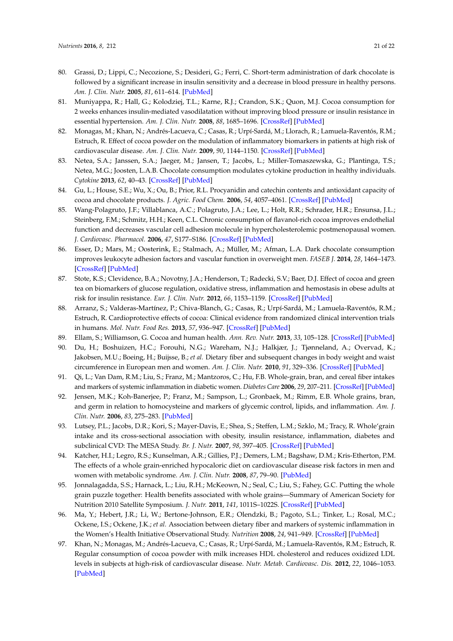- <span id="page-20-8"></span><span id="page-20-0"></span>80. Grassi, D.; Lippi, C.; Necozione, S.; Desideri, G.; Ferri, C. Short-term administration of dark chocolate is followed by a significant increase in insulin sensitivity and a decrease in blood pressure in healthy persons. *Am. J. Clin. Nutr.* **2005**, *81*, 611–614. [\[PubMed\]](http://www.ncbi.nlm.nih.gov/pubmed/15755830)
- <span id="page-20-1"></span>81. Muniyappa, R.; Hall, G.; Kolodziej, T.L.; Karne, R.J.; Crandon, S.K.; Quon, M.J. Cocoa consumption for 2 weeks enhances insulin-mediated vasodilatation without improving blood pressure or insulin resistance in essential hypertension. *Am. J. Clin. Nutr.* **2008**, *88*, 1685–1696. [\[CrossRef\]](http://dx.doi.org/10.3945/ajcn.2008.26457) [\[PubMed\]](http://www.ncbi.nlm.nih.gov/pubmed/19064532)
- <span id="page-20-2"></span>82. Monagas, M.; Khan, N.; Andrés-Lacueva, C.; Casas, R.; Urpí-Sardá, M.; Llorach, R.; Lamuela-Raventós, R.M.; Estruch, R. Effect of cocoa powder on the modulation of inflammatory biomarkers in patients at high risk of cardiovascular disease. *Am. J. Clin. Nutr.* **2009**, *90*, 1144–1150. [\[CrossRef\]](http://dx.doi.org/10.3945/ajcn.2009.27716) [\[PubMed\]](http://www.ncbi.nlm.nih.gov/pubmed/19776136)
- <span id="page-20-3"></span>83. Netea, S.A.; Janssen, S.A.; Jaeger, M.; Jansen, T.; Jacobs, L.; Miller-Tomaszewska, G.; Plantinga, T.S.; Netea, M.G.; Joosten, L.A.B. Chocolate consumption modulates cytokine production in healthy individuals. *Cytokine* **2013**, *62*, 40–43. [\[CrossRef\]](http://dx.doi.org/10.1016/j.cyto.2013.02.003) [\[PubMed\]](http://www.ncbi.nlm.nih.gov/pubmed/23465690)
- <span id="page-20-4"></span>84. Gu, L.; House, S.E.; Wu, X.; Ou, B.; Prior, R.L. Procyanidin and catechin contents and antioxidant capacity of cocoa and chocolate products. *J. Agric. Food Chem.* **2006**, *54*, 4057–4061. [\[CrossRef\]](http://dx.doi.org/10.1021/jf060360r) [\[PubMed\]](http://www.ncbi.nlm.nih.gov/pubmed/16719534)
- <span id="page-20-5"></span>85. Wang-Polagruto, J.F.; Villablanca, A.C.; Polagruto, J.A.; Lee, L.; Holt, R.R.; Schrader, H.R.; Ensunsa, J.L.; Steinberg, F.M.; Schmitz, H.H.; Keen, C.L. Chronic consumption of flavanol-rich cocoa improves endothelial function and decreases vascular cell adhesion molecule in hypercholesterolemic postmenopausal women. *J. Cardiovasc. Pharmacol.* **2006**, *47*, S177–S186. [\[CrossRef\]](http://dx.doi.org/10.1097/00005344-200606001-00013) [\[PubMed\]](http://www.ncbi.nlm.nih.gov/pubmed/16794456)
- <span id="page-20-6"></span>86. Esser, D.; Mars, M.; Oosterink, E.; Stalmach, A.; Müller, M.; Afman, L.A. Dark chocolate consumption improves leukocyte adhesion factors and vascular function in overweight men. *FASEB J.* **2014**, *28*, 1464–1473. [\[CrossRef\]](http://dx.doi.org/10.1096/fj.13-239384) [\[PubMed\]](http://www.ncbi.nlm.nih.gov/pubmed/24302679)
- <span id="page-20-7"></span>87. Stote, K.S.; Clevidence, B.A.; Novotny, J.A.; Henderson, T.; Radecki, S.V.; Baer, D.J. Effect of cocoa and green tea on biomarkers of glucose regulation, oxidative stress, inflammation and hemostasis in obese adults at risk for insulin resistance. *Eur. J. Clin. Nutr.* **2012**, *66*, 1153–1159. [\[CrossRef\]](http://dx.doi.org/10.1038/ejcn.2012.101) [\[PubMed\]](http://www.ncbi.nlm.nih.gov/pubmed/22854880)
- <span id="page-20-9"></span>88. Arranz, S.; Valderas-Martínez, P.; Chiva-Blanch, G.; Casas, R.; Urpí-Sardá, M.; Lamuela-Raventós, R.M.; Estruch, R. Cardioprotective effects of cocoa: Clinical evidence from randomized clinical intervention trials in humans. *Mol. Nutr. Food Res.* **2013**, *57*, 936–947. [\[CrossRef\]](http://dx.doi.org/10.1002/mnfr.201200595) [\[PubMed\]](http://www.ncbi.nlm.nih.gov/pubmed/23650217)
- <span id="page-20-10"></span>89. Ellam, S.; Williamson, G. Cocoa and human health. *Ann. Rev. Nutr.* **2013**, *33*, 105–128. [\[CrossRef\]](http://dx.doi.org/10.1146/annurev-nutr-071811-150642) [\[PubMed\]](http://www.ncbi.nlm.nih.gov/pubmed/23642199)
- <span id="page-20-11"></span>90. Du, H.; Boshuizen, H.C.; Forouhi, N.G.; Wareham, N.J.; Halkjær, J.; Tjønneland, A.; Overvad, K.; Jakobsen, M.U.; Boeing, H.; Buijsse, B.; *et al.* Dietary fiber and subsequent changes in body weight and waist circumference in European men and women. *Am. J. Clin. Nutr.* **2010**, *91*, 329–336. [\[CrossRef\]](http://dx.doi.org/10.3945/ajcn.2009.28191) [\[PubMed\]](http://www.ncbi.nlm.nih.gov/pubmed/20016015)
- <span id="page-20-12"></span>91. Qi, L.; Van Dam, R.M.; Liu, S.; Franz, M.; Mantzoros, C.; Hu, F.B. Whole-grain, bran, and cereal fiber intakes and markers of systemic inflammation in diabetic women. *Diabetes Care* **2006**, *29*, 207–211. [\[CrossRef\]](http://dx.doi.org/10.2337/diacare.29.02.06.dc05-1903) [\[PubMed\]](http://www.ncbi.nlm.nih.gov/pubmed/16443861)
- <span id="page-20-13"></span>92. Jensen, M.K.; Koh-Banerjee, P.; Franz, M.; Sampson, L.; Gronbaek, M.; Rimm, E.B. Whole grains, bran, and germ in relation to homocysteine and markers of glycemic control, lipids, and inflammation. *Am. J. Clin. Nutr.* **2006**, *83*, 275–283. [\[PubMed\]](http://www.ncbi.nlm.nih.gov/pubmed/16469984)
- 93. Lutsey, P.L.; Jacobs, D.R.; Kori, S.; Mayer-Davis, E.; Shea, S.; Steffen, L.M.; Szklo, M.; Tracy, R. Whole'grain intake and its cross-sectional association with obesity, insulin resistance, inflammation, diabetes and subclinical CVD: The MESA Study. *Br. J. Nutr.* **2007**, *98*, 397–405. [\[CrossRef\]](http://dx.doi.org/10.1017/S0007114507700715) [\[PubMed\]](http://www.ncbi.nlm.nih.gov/pubmed/17391554)
- 94. Katcher, H.I.; Legro, R.S.; Kunselman, A.R.; Gillies, P.J.; Demers, L.M.; Bagshaw, D.M.; Kris-Etherton, P.M. The effects of a whole grain-enriched hypocaloric diet on cardiovascular disease risk factors in men and women with metabolic syndrome. *Am. J. Clin. Nutr.* **2008**, *87*, 79–90. [\[PubMed\]](http://www.ncbi.nlm.nih.gov/pubmed/18175740)
- <span id="page-20-14"></span>95. Jonnalagadda, S.S.; Harnack, L.; Liu, R.H.; McKeown, N.; Seal, C.; Liu, S.; Fahey, G.C. Putting the whole grain puzzle together: Health benefits associated with whole grains—Summary of American Society for Nutrition 2010 Satellite Symposium. *J. Nutr.* **2011**, *141*, 1011S–1022S. [\[CrossRef\]](http://dx.doi.org/10.3945/jn.110.132944) [\[PubMed\]](http://www.ncbi.nlm.nih.gov/pubmed/21451131)
- <span id="page-20-15"></span>96. Ma, Y.; Hebert, J.R.; Li, W.; Bertone-Johnson, E.R.; Olendzki, B.; Pagoto, S.L.; Tinker, L.; Rosal, M.C.; Ockene, I.S.; Ockene, J.K.; *et al.* Association between dietary fiber and markers of systemic inflammation in the Women's Health Initiative Observational Study. *Nutrition* **2008**, *24*, 941–949. [\[CrossRef\]](http://dx.doi.org/10.1016/j.nut.2008.04.005) [\[PubMed\]](http://www.ncbi.nlm.nih.gov/pubmed/18562168)
- <span id="page-20-16"></span>97. Khan, N.; Monagas, M.; Andrés-Lacueva, C.; Casas, R.; Urpí-Sardá, M.; Lamuela-Raventós, R.M.; Estruch, R. Regular consumption of cocoa powder with milk increases HDL cholesterol and reduces oxidized LDL levels in subjects at high-risk of cardiovascular disease. *Nutr. Metab. Cardiovasc. Dis.* **2012**, *22*, 1046–1053. [\[PubMed\]](http://www.ncbi.nlm.nih.gov/pubmed/21550218)